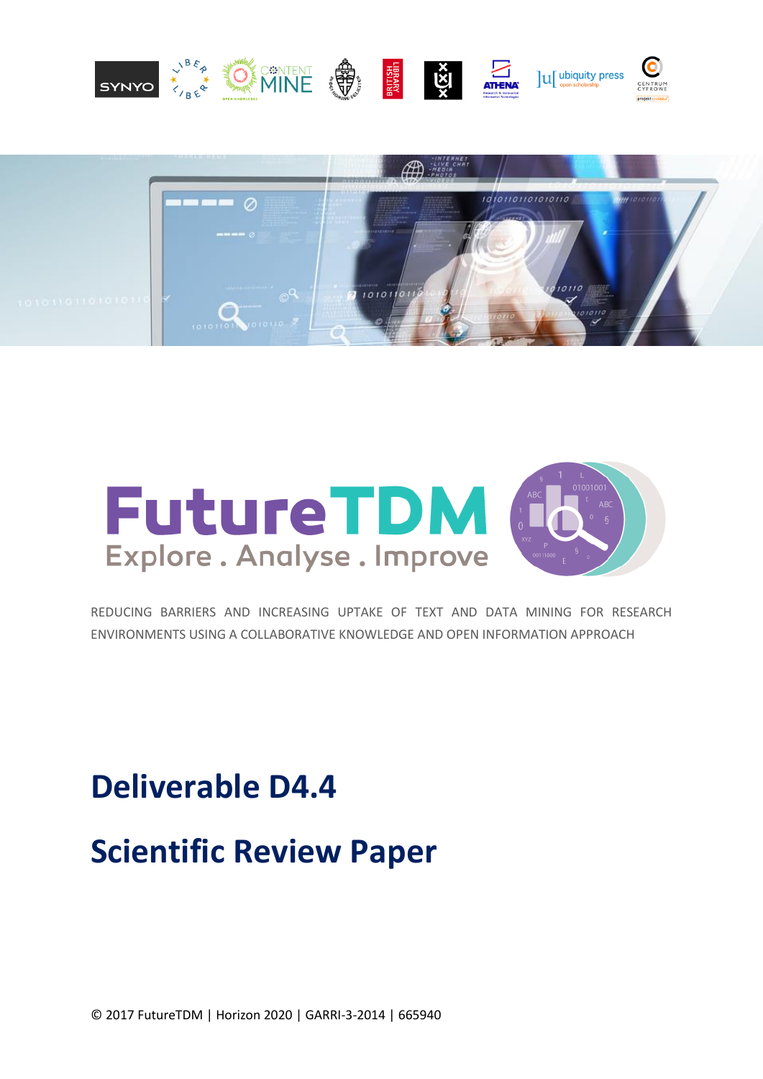





REDUCING BARRIERS AND INCREASING UPTAKE OF TEXT AND DATA MINING FOR RESEARCH ENVIRONMENTS USING A COLLABORATIVE KNOWLEDGE AND OPEN INFORMATION APPROACH

# **Deliverable D4.4 Scientific Review Paper**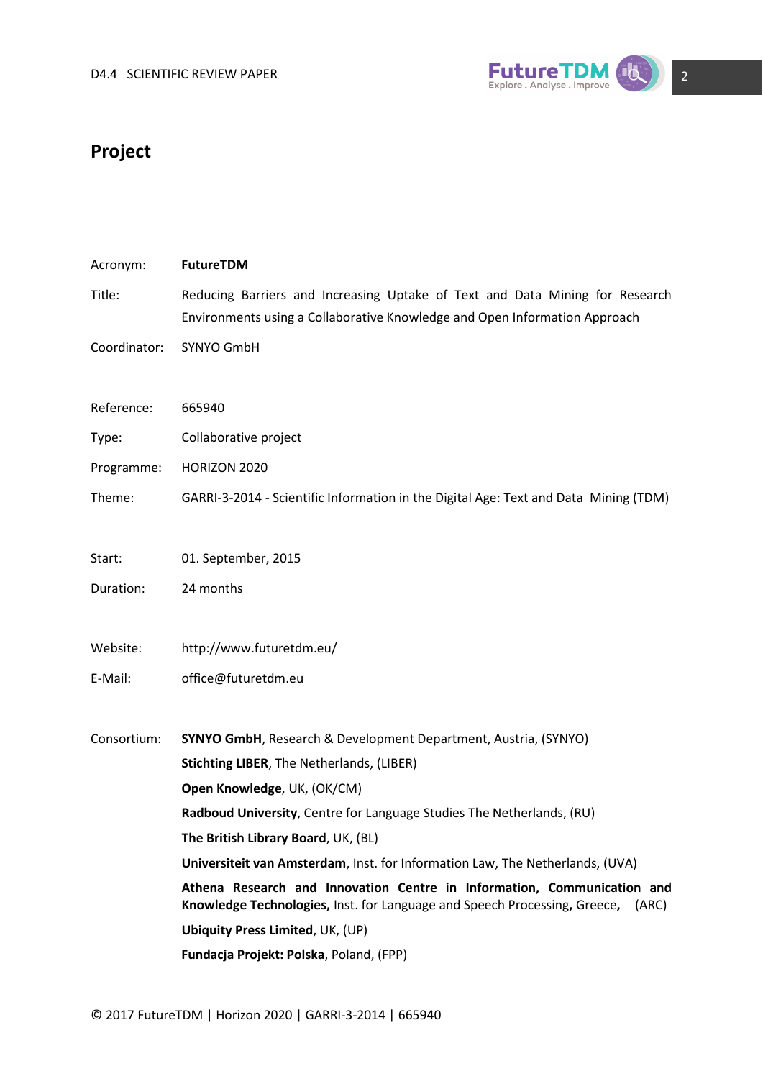

### **Project**

| Acronym:     | FutureTDM                                                                                                                                                     |
|--------------|---------------------------------------------------------------------------------------------------------------------------------------------------------------|
| Title:       | Reducing Barriers and Increasing Uptake of Text and Data Mining for Research<br>Environments using a Collaborative Knowledge and Open Information Approach    |
| Coordinator: | SYNYO GmbH                                                                                                                                                    |
| Reference:   | 665940                                                                                                                                                        |
| Type:        | Collaborative project                                                                                                                                         |
| Programme:   | HORIZON 2020                                                                                                                                                  |
| Theme:       | GARRI-3-2014 - Scientific Information in the Digital Age: Text and Data Mining (TDM)                                                                          |
| Start:       | 01. September, 2015                                                                                                                                           |
| Duration:    | 24 months                                                                                                                                                     |
| Website:     | http://www.futuretdm.eu/                                                                                                                                      |
| E-Mail:      | office@futuretdm.eu                                                                                                                                           |
| Consortium:  | <b>SYNYO GmbH, Research &amp; Development Department, Austria, (SYNYO)</b>                                                                                    |
|              | <b>Stichting LIBER, The Netherlands, (LIBER)</b>                                                                                                              |
|              | Open Knowledge, UK, (OK/CM)                                                                                                                                   |
|              | Radboud University, Centre for Language Studies The Netherlands, (RU)                                                                                         |
|              | The British Library Board, UK, (BL)                                                                                                                           |
|              | Universiteit van Amsterdam, Inst. for Information Law, The Netherlands, (UVA)                                                                                 |
|              | Athena Research and Innovation Centre in Information, Communication and<br>Knowledge Technologies, Inst. for Language and Speech Processing, Greece,<br>(ARC) |
|              | <b>Ubiquity Press Limited, UK, (UP)</b>                                                                                                                       |
|              | Fundacja Projekt: Polska, Poland, (FPP)                                                                                                                       |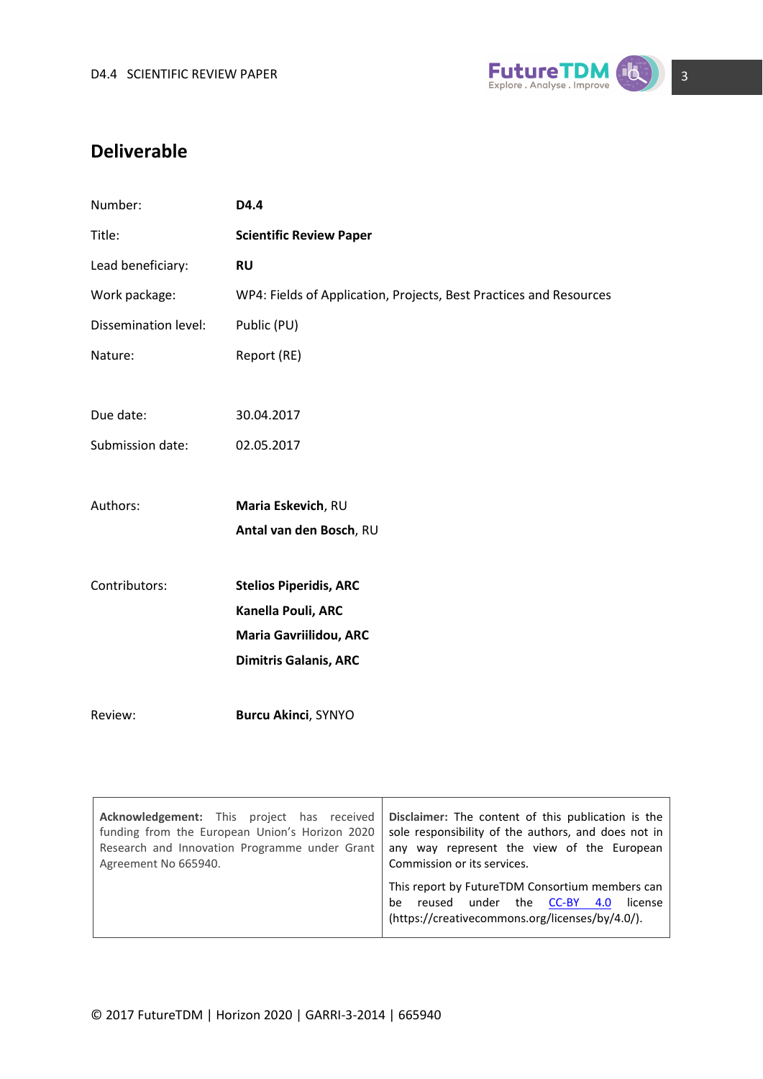

### **Deliverable**

| D4.4                                                               |
|--------------------------------------------------------------------|
| <b>Scientific Review Paper</b>                                     |
| <b>RU</b>                                                          |
| WP4: Fields of Application, Projects, Best Practices and Resources |
| Public (PU)                                                        |
| Report (RE)                                                        |
|                                                                    |
| 30.04.2017                                                         |
| 02.05.2017                                                         |
|                                                                    |
| Maria Eskevich, RU                                                 |
| Antal van den Bosch, RU                                            |
|                                                                    |
| <b>Stelios Piperidis, ARC</b>                                      |
| Kanella Pouli, ARC                                                 |
| Maria Gavriilidou, ARC                                             |
| <b>Dimitris Galanis, ARC</b>                                       |
|                                                                    |
| <b>Burcu Akinci, SYNYO</b>                                         |
|                                                                    |

| Acknowledgement: This project has received     | Disclaimer: The content of this publication is the                                                                                                |
|------------------------------------------------|---------------------------------------------------------------------------------------------------------------------------------------------------|
| funding from the European Union's Horizon 2020 | sole responsibility of the authors, and does not in                                                                                               |
| Research and Innovation Programme under Grant  | any way represent the view of the European                                                                                                        |
| Agreement No 665940.                           | Commission or its services.                                                                                                                       |
|                                                | This report by FutureTDM Consortium members can<br>reused under the CC-BY 4.0<br>license<br>be<br>(https://creativecommons.org/licenses/by/4.0/). |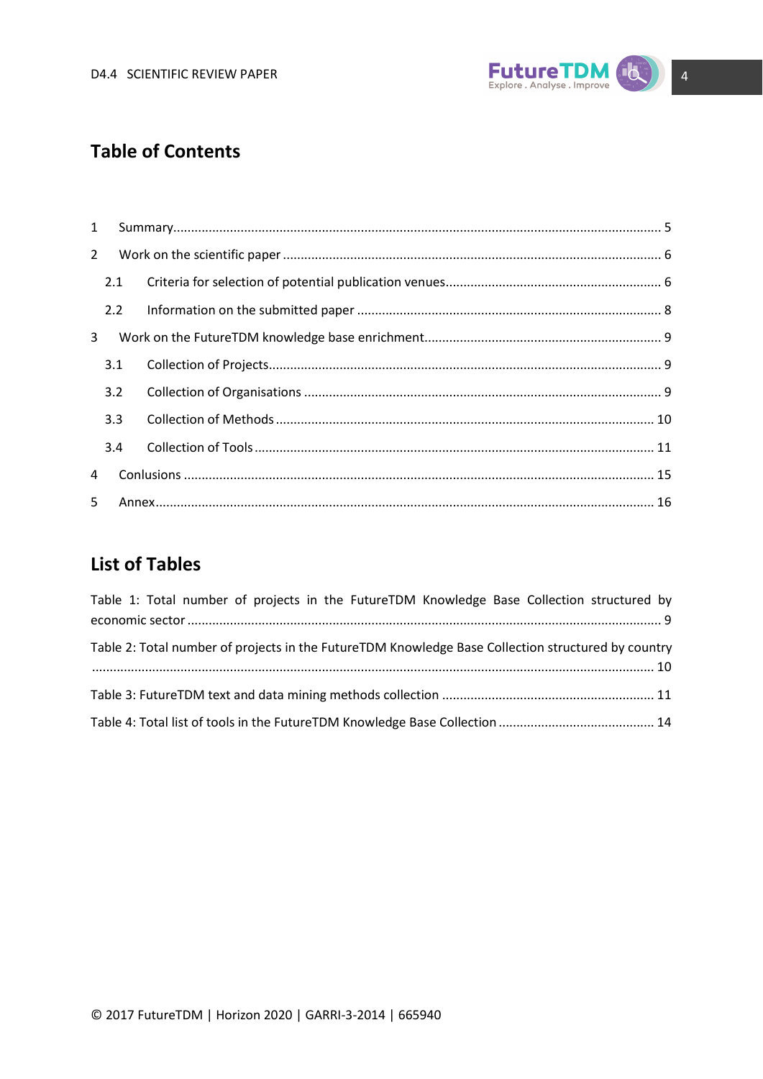

### **Table of Contents**

| 1           |     |  |  |
|-------------|-----|--|--|
| $2^{\circ}$ |     |  |  |
|             | 2.1 |  |  |
|             | 2.2 |  |  |
| 3           |     |  |  |
|             | 3.1 |  |  |
|             | 3.2 |  |  |
|             | 3.3 |  |  |
|             | 3.4 |  |  |
| 4           |     |  |  |
| 5.          |     |  |  |

### **List of Tables**

| Table 1: Total number of projects in the FutureTDM Knowledge Base Collection structured by         |  |
|----------------------------------------------------------------------------------------------------|--|
|                                                                                                    |  |
| Table 2: Total number of projects in the FutureTDM Knowledge Base Collection structured by country |  |
|                                                                                                    |  |
|                                                                                                    |  |
|                                                                                                    |  |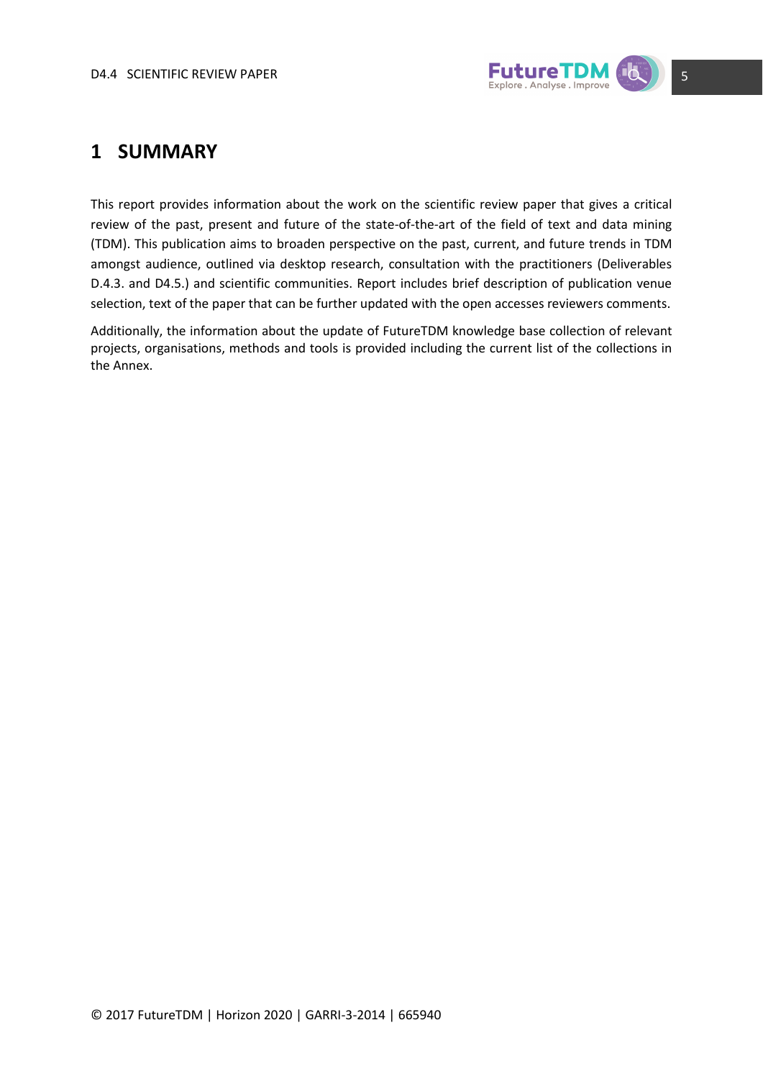

### <span id="page-4-0"></span>**1 SUMMARY**

This report provides information about the work on the scientific review paper that gives a critical review of the past, present and future of the state-of-the-art of the field of text and data mining (TDM). This publication aims to broaden perspective on the past, current, and future trends in TDM amongst audience, outlined via desktop research, consultation with the practitioners (Deliverables D.4.3. and D4.5.) and scientific communities. Report includes brief description of publication venue selection, text of the paper that can be further updated with the open accesses reviewers comments.

Additionally, the information about the update of FutureTDM knowledge base collection of relevant projects, organisations, methods and tools is provided including the current list of the collections in the Annex.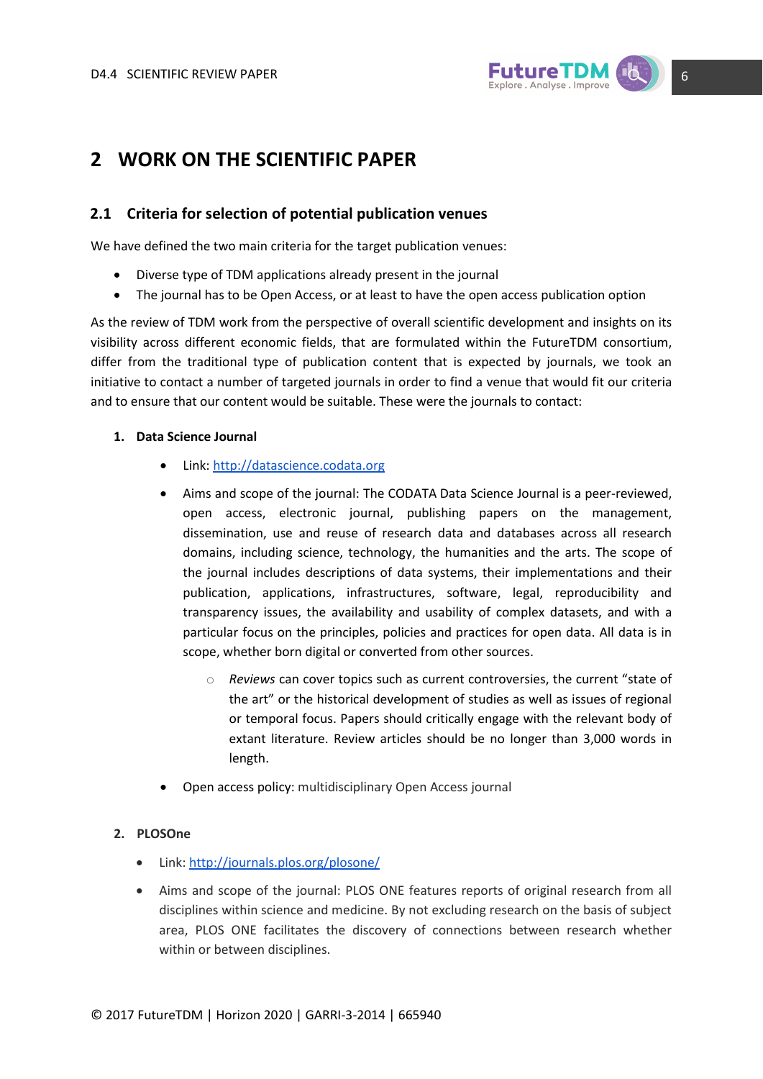

### <span id="page-5-0"></span>**2 WORK ON THE SCIENTIFIC PAPER**

#### <span id="page-5-1"></span>**2.1 Criteria for selection of potential publication venues**

We have defined the two main criteria for the target publication venues:

- Diverse type of TDM applications already present in the journal
- The journal has to be Open Access, or at least to have the open access publication option

As the review of TDM work from the perspective of overall scientific development and insights on its visibility across different economic fields, that are formulated within the FutureTDM consortium, differ from the traditional type of publication content that is expected by journals, we took an initiative to contact a number of targeted journals in order to find a venue that would fit our criteria and to ensure that our content would be suitable. These were the journals to contact:

#### **1. Data Science Journal**

- Link: [http://datascience.codata.org](http://datascience.codata.org/)
- Aims and scope of the journal: The CODATA Data Science Journal is a peer-reviewed, open access, electronic journal, publishing papers on the management, dissemination, use and reuse of research data and databases across all research domains, including science, technology, the humanities and the arts. The scope of the journal includes descriptions of data systems, their implementations and their publication, applications, infrastructures, software, legal, reproducibility and transparency issues, the availability and usability of complex datasets, and with a particular focus on the principles, policies and practices for open data. All data is in scope, whether born digital or converted from other sources.
	- o *Reviews* can cover topics such as current controversies, the current "state of the art" or the historical development of studies as well as issues of regional or temporal focus. Papers should critically engage with the relevant body of extant literature. Review articles should be no longer than 3,000 words in length.
- Open access policy: multidisciplinary Open Access journal

#### **2. PLOSOne**

- Link[: http://journals.plos.org/plosone/](http://journals.plos.org/plosone/)
- Aims and scope of the journal: PLOS ONE features reports of original research from all disciplines within science and medicine. By not excluding research on the basis of subject area, PLOS ONE facilitates the discovery of connections between research whether within or between disciplines.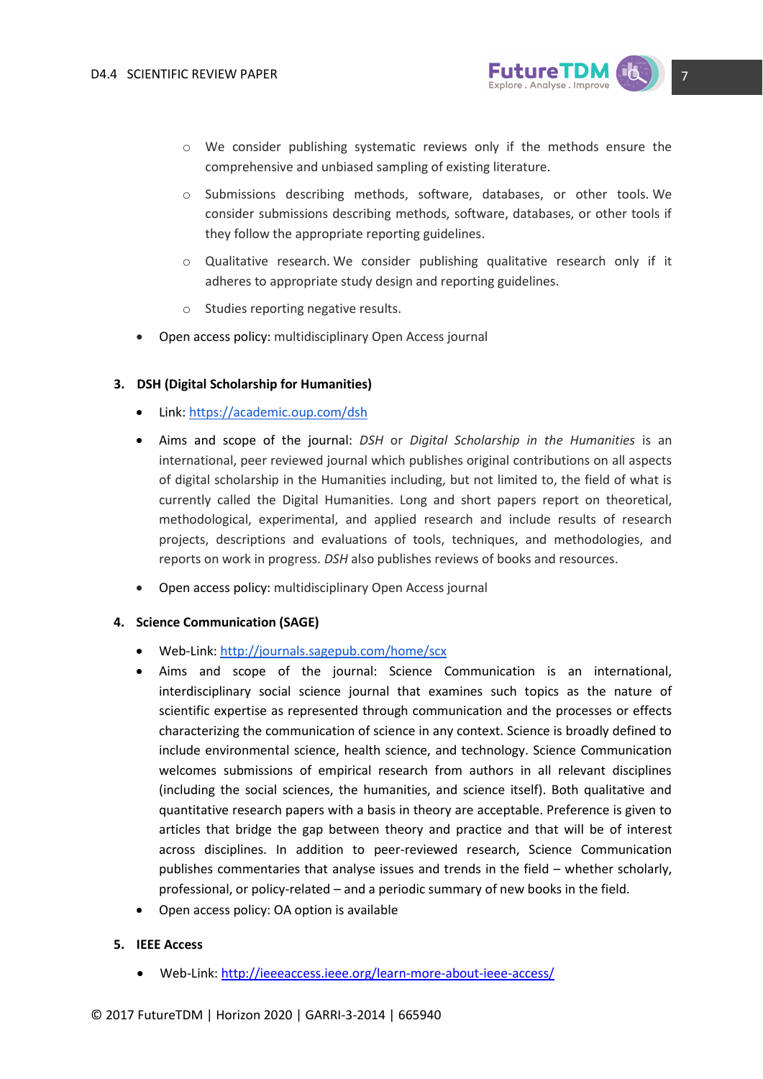

- o We consider publishing systematic reviews only if the methods ensure the comprehensive and unbiased sampling of existing literature.
- o Submissions describing methods, software, databases, or other tools. We consider submissions describing methods, software, databases, or other tools if they follow the appropriate reporting guidelines.
- $\circ$  Qualitative research. We consider publishing qualitative research only if it adheres to appropriate study design and reporting guidelines.
- o Studies reporting negative results.
- Open access policy: multidisciplinary Open Access journal

#### **3. DSH (Digital Scholarship for Humanities)**

- Link[: https://academic.oup.com/dsh](https://academic.oup.com/dsh)
- Aims and scope of the journal: *DSH* or *Digital Scholarship in the Humanities* is an international, peer reviewed journal which publishes original contributions on all aspects of digital scholarship in the Humanities including, but not limited to, the field of what is currently called the Digital Humanities. Long and short papers report on theoretical, methodological, experimental, and applied research and include results of research projects, descriptions and evaluations of tools, techniques, and methodologies, and reports on work in progress. *DSH* also publishes reviews of books and resources.
- Open access policy: multidisciplinary Open Access journal

#### **4. Science Communication (SAGE)**

- Web-Link:<http://journals.sagepub.com/home/scx>
- Aims and scope of the journal: Science Communication is an international, interdisciplinary social science journal that examines such topics as the nature of scientific expertise as represented through communication and the processes or effects characterizing the communication of science in any context. Science is broadly defined to include environmental science, health science, and technology. Science Communication welcomes submissions of empirical research from authors in all relevant disciplines (including the social sciences, the humanities, and science itself). Both qualitative and quantitative research papers with a basis in theory are acceptable. Preference is given to articles that bridge the gap between theory and practice and that will be of interest across disciplines. In addition to peer-reviewed research, Science Communication publishes commentaries that analyse issues and trends in the field – whether scholarly, professional, or policy-related – and a periodic summary of new books in the field.
- Open access policy: OA option is available

#### **5. IEEE Access**

Web-Link[: http://ieeeaccess.ieee.org/learn-more-about-ieee-access/](http://ieeeaccess.ieee.org/learn-more-about-ieee-access/)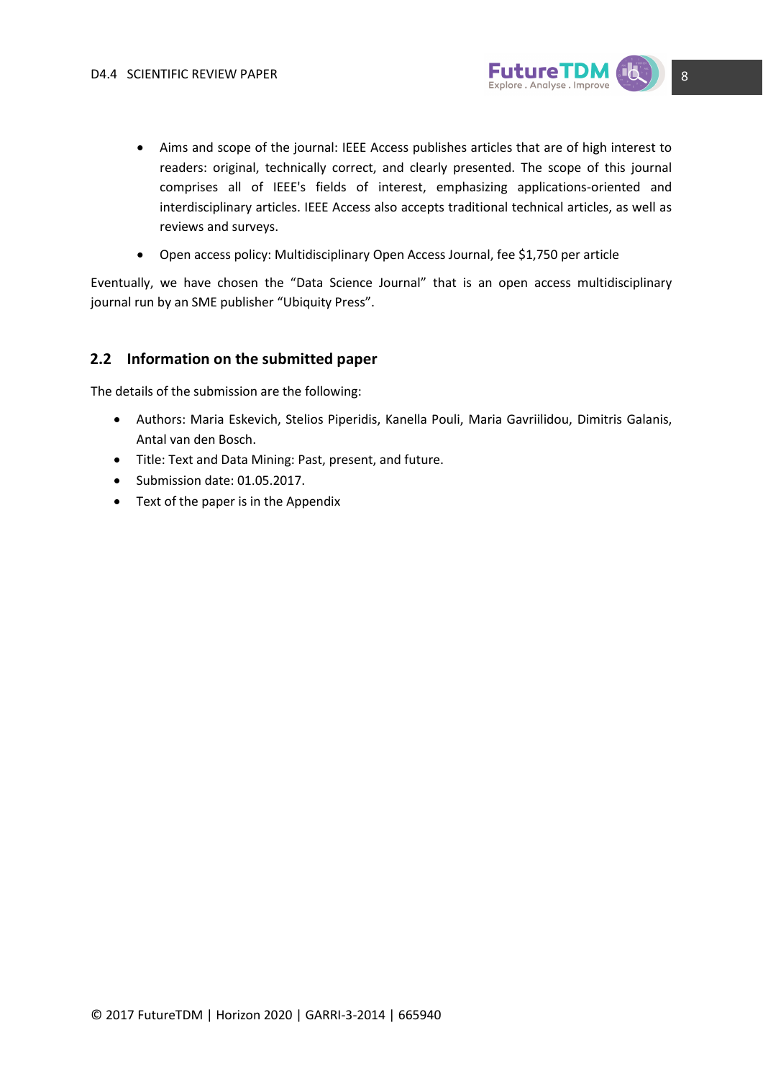

- Aims and scope of the journal: IEEE Access publishes articles that are of high interest to readers: original, technically correct, and clearly presented. The scope of this journal comprises all of IEEE's fields of interest, emphasizing applications-oriented and interdisciplinary articles. IEEE Access also accepts traditional technical articles, as well as reviews and surveys.
- Open access policy: Multidisciplinary Open Access Journal, fee \$1,750 per article

Eventually, we have chosen the "Data Science Journal" that is an open access multidisciplinary journal run by an SME publisher "Ubiquity Press".

#### <span id="page-7-0"></span>**2.2 Information on the submitted paper**

The details of the submission are the following:

- Authors: Maria Eskevich, Stelios Piperidis, Kanella Pouli, Maria Gavriilidou, Dimitris Galanis, Antal van den Bosch.
- Title: Text and Data Mining: Past, present, and future.
- Submission date: 01.05.2017.
- Text of the paper is in the Appendix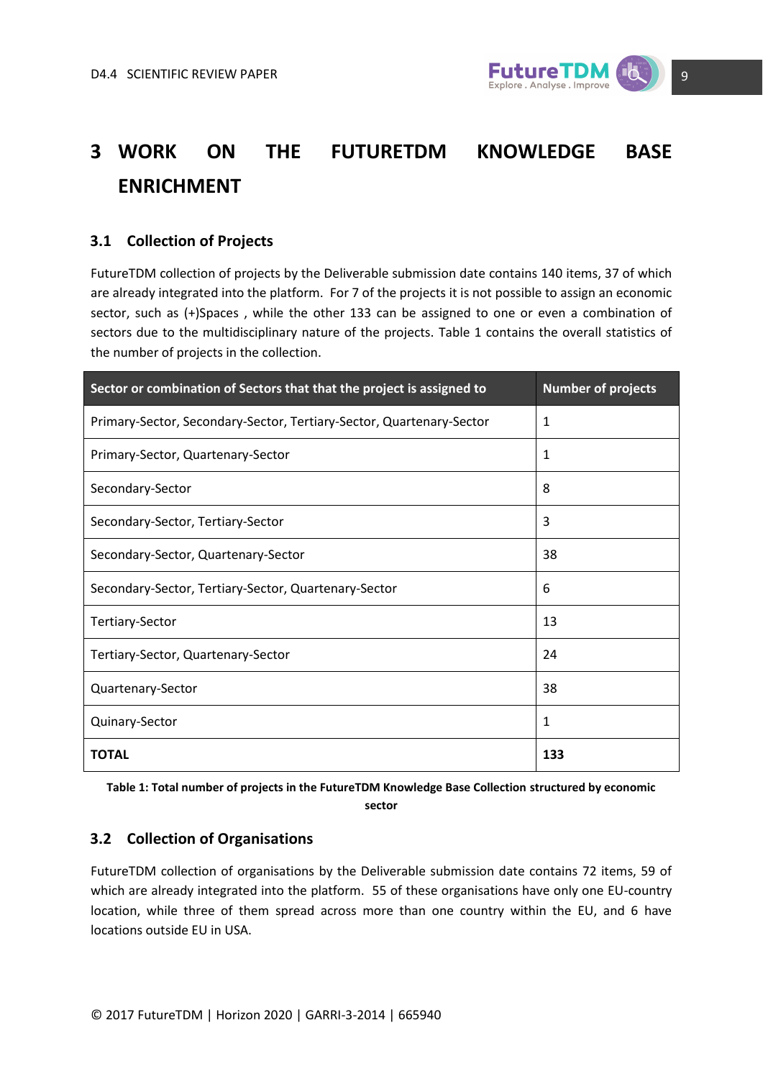

## <span id="page-8-0"></span>**3 WORK ON THE FUTURETDM KNOWLEDGE BASE ENRICHMENT**

### <span id="page-8-1"></span>**3.1 Collection of Projects**

FutureTDM collection of projects by the Deliverable submission date contains 140 items, 37 of which are already integrated into the platform. For 7 of the projects it is not possible to assign an economic sector, such as (+)Spaces , while the other 133 can be assigned to one or even a combination of sectors due to the multidisciplinary nature of the projects. Table 1 contains the overall statistics of the number of projects in the collection.

| Sector or combination of Sectors that that the project is assigned to | Number of projects |
|-----------------------------------------------------------------------|--------------------|
| Primary-Sector, Secondary-Sector, Tertiary-Sector, Quartenary-Sector  | 1                  |
| Primary-Sector, Quartenary-Sector                                     | 1                  |
| Secondary-Sector                                                      | 8                  |
| Secondary-Sector, Tertiary-Sector                                     | 3                  |
| Secondary-Sector, Quartenary-Sector                                   | 38                 |
| Secondary-Sector, Tertiary-Sector, Quartenary-Sector                  | 6                  |
| Tertiary-Sector                                                       | 13                 |
| Tertiary-Sector, Quartenary-Sector                                    | 24                 |
| Quartenary-Sector                                                     | 38                 |
| Quinary-Sector                                                        | 1                  |
| <b>TOTAL</b>                                                          | 133                |

**Table 1: Total number of projects in the FutureTDM Knowledge Base Collection structured by economic sector**

### <span id="page-8-2"></span>**3.2 Collection of Organisations**

FutureTDM collection of organisations by the Deliverable submission date contains 72 items, 59 of which are already integrated into the platform. 55 of these organisations have only one EU-country location, while three of them spread across more than one country within the EU, and 6 have locations outside EU in USA.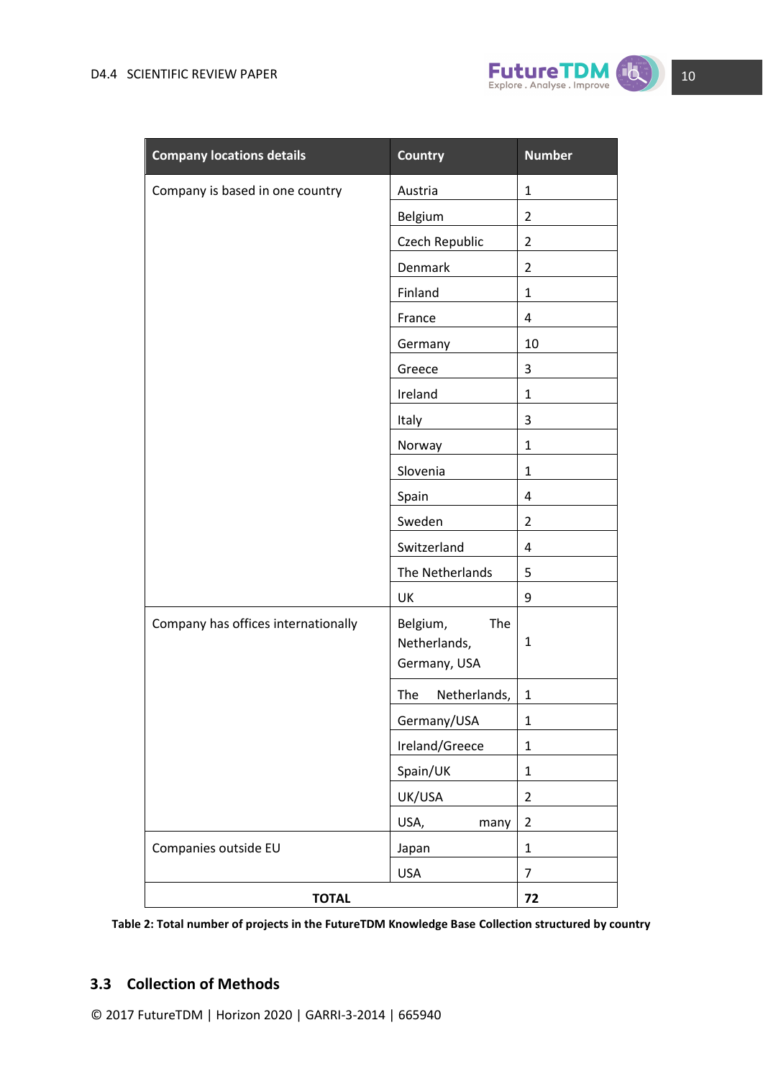

| <b>Company locations details</b>    | <b>Country</b>                                  | <b>Number</b>  |
|-------------------------------------|-------------------------------------------------|----------------|
| Company is based in one country     | Austria                                         | $\mathbf{1}$   |
|                                     | Belgium                                         | $\overline{2}$ |
|                                     | Czech Republic                                  | $\overline{2}$ |
|                                     | Denmark                                         | $\overline{2}$ |
|                                     | Finland                                         | $\mathbf{1}$   |
|                                     | France                                          | 4              |
|                                     | Germany                                         | 10             |
|                                     | Greece                                          | 3              |
|                                     | Ireland                                         | $\mathbf{1}$   |
|                                     | Italy                                           | 3              |
|                                     | Norway                                          | $\mathbf{1}$   |
|                                     | Slovenia                                        | $\mathbf{1}$   |
|                                     | Spain                                           | 4              |
|                                     | Sweden                                          | $\overline{2}$ |
|                                     | Switzerland                                     | 4              |
|                                     | The Netherlands                                 | 5              |
|                                     | UK                                              | 9              |
| Company has offices internationally | Belgium,<br>The<br>Netherlands,<br>Germany, USA | $\mathbf{1}$   |
|                                     | The<br>Netherlands,                             | $\mathbf{1}$   |
|                                     | Germany/USA                                     | 1              |
|                                     | Ireland/Greece                                  | $\mathbf{1}$   |
|                                     | Spain/UK                                        | $\mathbf{1}$   |
|                                     | UK/USA                                          | $\overline{2}$ |
|                                     | USA,<br>many                                    | $\overline{2}$ |
| Companies outside EU                | Japan                                           | $\mathbf{1}$   |
|                                     | <b>USA</b>                                      | $\overline{7}$ |
| <b>TOTAL</b>                        |                                                 | 72             |

**Table 2: Total number of projects in the FutureTDM Knowledge Base Collection structured by country**

### <span id="page-9-0"></span>**3.3 Collection of Methods**

© 2017 FutureTDM | Horizon 2020 | GARRI-3-2014 | 665940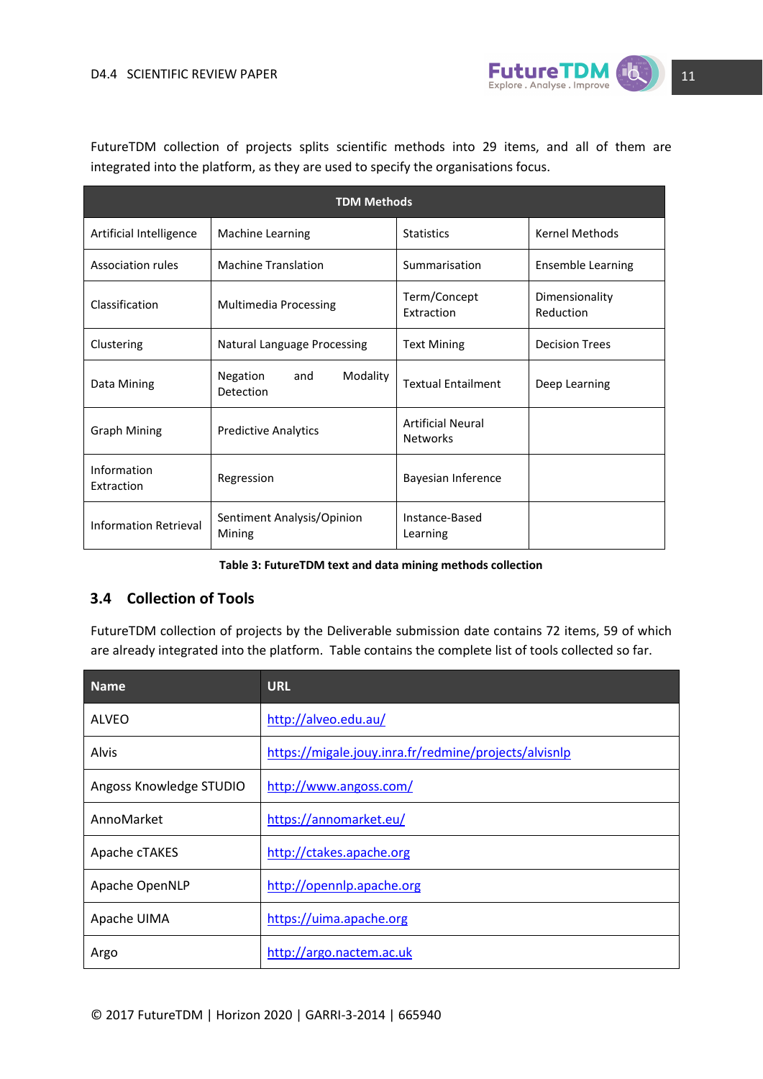

FutureTDM collection of projects splits scientific methods into 29 items, and all of them are integrated into the platform, as they are used to specify the organisations focus.

| <b>TDM Methods</b>           |                                          |                                             |                             |
|------------------------------|------------------------------------------|---------------------------------------------|-----------------------------|
| Artificial Intelligence      | Machine Learning                         | <b>Statistics</b>                           | <b>Kernel Methods</b>       |
| Association rules            | <b>Machine Translation</b>               | Summarisation                               | <b>Ensemble Learning</b>    |
| Classification               | Multimedia Processing                    | Term/Concept<br><b>Extraction</b>           | Dimensionality<br>Reduction |
| Clustering                   | <b>Natural Language Processing</b>       | <b>Text Mining</b>                          | <b>Decision Trees</b>       |
| Data Mining                  | Modality<br>Negation<br>and<br>Detection | <b>Textual Entailment</b>                   | Deep Learning               |
| <b>Graph Mining</b>          | <b>Predictive Analytics</b>              | <b>Artificial Neural</b><br><b>Networks</b> |                             |
| Information<br>Extraction    | Regression                               | Bayesian Inference                          |                             |
| <b>Information Retrieval</b> | Sentiment Analysis/Opinion<br>Mining     | Instance-Based<br>Learning                  |                             |

**Table 3: FutureTDM text and data mining methods collection**

#### <span id="page-10-0"></span>**3.4 Collection of Tools**

FutureTDM collection of projects by the Deliverable submission date contains 72 items, 59 of which are already integrated into the platform. Table contains the complete list of tools collected so far.

| <b>Name</b>             | <b>URL</b>                                            |
|-------------------------|-------------------------------------------------------|
| ALVEO                   | http://alveo.edu.au/                                  |
| Alvis                   | https://migale.jouy.inra.fr/redmine/projects/alvisnlp |
| Angoss Knowledge STUDIO | http://www.angoss.com/                                |
| AnnoMarket              | https://annomarket.eu/                                |
| Apache cTAKES           | http://ctakes.apache.org                              |
| Apache OpenNLP          | http://opennlp.apache.org                             |
| Apache UIMA             | https://uima.apache.org                               |
| Argo                    | http://argo.nactem.ac.uk                              |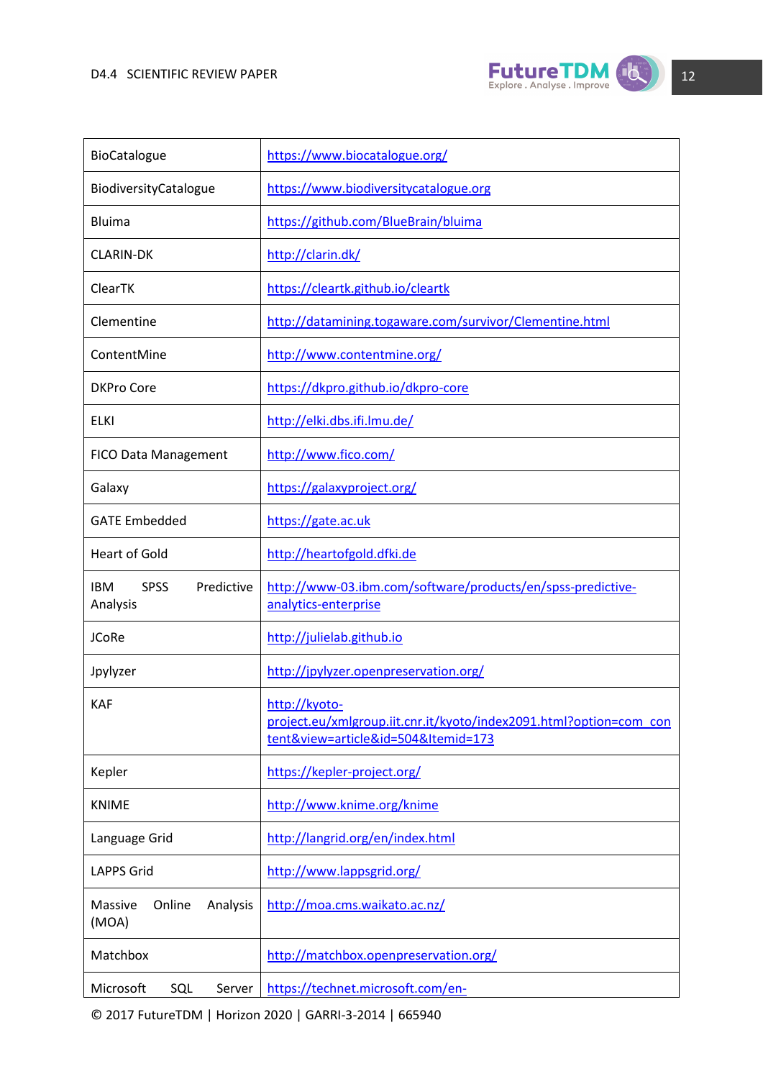

| BioCatalogue                                        | https://www.biocatalogue.org/                                                                                              |
|-----------------------------------------------------|----------------------------------------------------------------------------------------------------------------------------|
| BiodiversityCatalogue                               | https://www.biodiversitycatalogue.org                                                                                      |
| <b>Bluima</b>                                       | https://github.com/BlueBrain/bluima                                                                                        |
| <b>CLARIN-DK</b>                                    | http://clarin.dk/                                                                                                          |
| ClearTK                                             | https://cleartk.github.io/cleartk                                                                                          |
| Clementine                                          | http://datamining.togaware.com/survivor/Clementine.html                                                                    |
| ContentMine                                         | http://www.contentmine.org/                                                                                                |
| <b>DKPro Core</b>                                   | https://dkpro.github.io/dkpro-core                                                                                         |
| <b>ELKI</b>                                         | http://elki.dbs.ifi.lmu.de/                                                                                                |
| <b>FICO Data Management</b>                         | http://www.fico.com/                                                                                                       |
| Galaxy                                              | https://galaxyproject.org/                                                                                                 |
| <b>GATE Embedded</b>                                | https://gate.ac.uk                                                                                                         |
| <b>Heart of Gold</b>                                | http://heartofgold.dfki.de                                                                                                 |
| <b>SPSS</b><br>Predictive<br><b>IBM</b><br>Analysis | http://www-03.ibm.com/software/products/en/spss-predictive-<br>analytics-enterprise                                        |
| <b>JCoRe</b>                                        | http://julielab.github.io                                                                                                  |
| Jpylyzer                                            | http://jpylyzer.openpreservation.org/                                                                                      |
| <b>KAF</b>                                          | http://kyoto-<br>project.eu/xmlgroup.iit.cnr.it/kyoto/index2091.html?option=com con<br>tent&view=article&id=504&Itemid=173 |
| Kepler                                              | https://kepler-project.org/                                                                                                |
| <b>KNIME</b>                                        | http://www.knime.org/knime                                                                                                 |
| Language Grid                                       | http://langrid.org/en/index.html                                                                                           |
| <b>LAPPS Grid</b>                                   | http://www.lappsgrid.org/                                                                                                  |
| Online<br>Analysis<br>Massive<br>(MOA)              | http://moa.cms.waikato.ac.nz/                                                                                              |
| Matchbox                                            | http://matchbox.openpreservation.org/                                                                                      |
| Microsoft<br>SQL<br>Server                          | https://technet.microsoft.com/en-                                                                                          |

© 2017 FutureTDM | Horizon 2020 | GARRI-3-2014 | 665940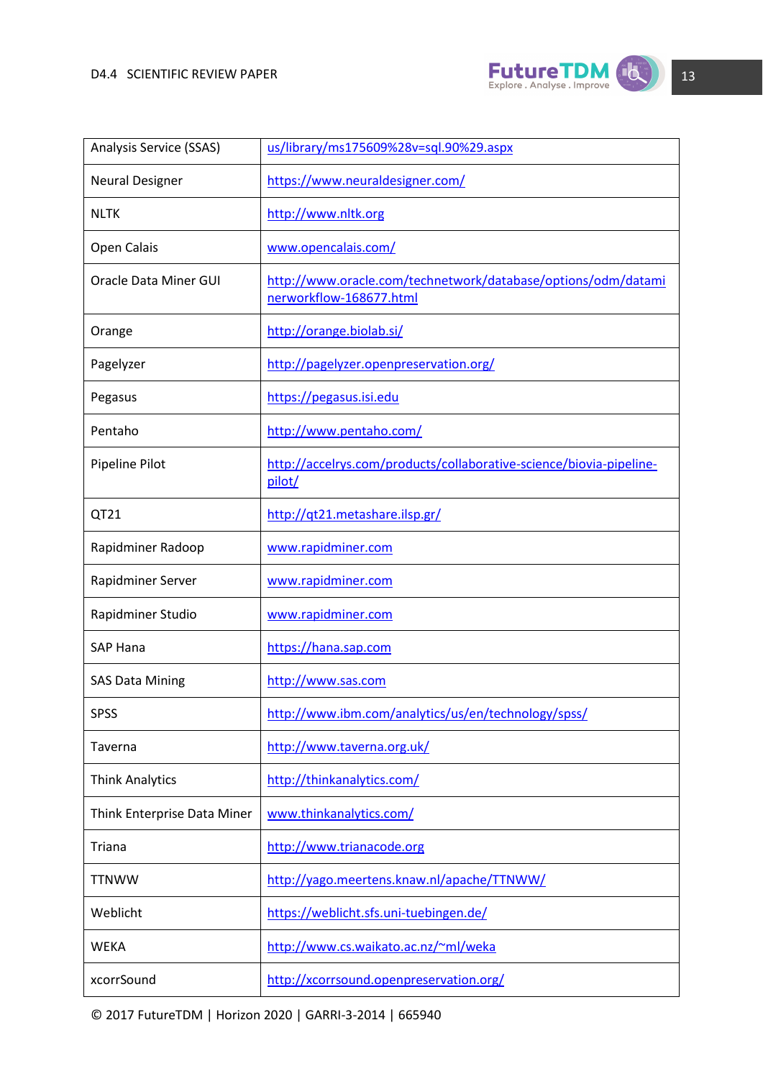

| Analysis Service (SSAS)     | us/library/ms175609%28v=sql.90%29.aspx                                                   |
|-----------------------------|------------------------------------------------------------------------------------------|
| <b>Neural Designer</b>      | https://www.neuraldesigner.com/                                                          |
| <b>NLTK</b>                 | http://www.nltk.org                                                                      |
| Open Calais                 | www.opencalais.com/                                                                      |
| Oracle Data Miner GUI       | http://www.oracle.com/technetwork/database/options/odm/datami<br>nerworkflow-168677.html |
| Orange                      | http://orange.biolab.si/                                                                 |
| Pagelyzer                   | http://pagelyzer.openpreservation.org/                                                   |
| Pegasus                     | https://pegasus.isi.edu                                                                  |
| Pentaho                     | http://www.pentaho.com/                                                                  |
| Pipeline Pilot              | http://accelrys.com/products/collaborative-science/biovia-pipeline-<br>pilot/            |
| QT21                        | http://qt21.metashare.ilsp.gr/                                                           |
| Rapidminer Radoop           | www.rapidminer.com                                                                       |
| Rapidminer Server           | www.rapidminer.com                                                                       |
| Rapidminer Studio           | www.rapidminer.com                                                                       |
| <b>SAP Hana</b>             | https://hana.sap.com                                                                     |
| <b>SAS Data Mining</b>      | http://www.sas.com                                                                       |
| <b>SPSS</b>                 | http://www.ibm.com/analytics/us/en/technology/spss/                                      |
| Taverna                     | http://www.taverna.org.uk/                                                               |
| <b>Think Analytics</b>      | http://thinkanalytics.com/                                                               |
| Think Enterprise Data Miner | www.thinkanalytics.com/                                                                  |
| Triana                      | http://www.trianacode.org                                                                |
| <b>TTNWW</b>                | http://yago.meertens.knaw.nl/apache/TTNWW/                                               |
| Weblicht                    | https://weblicht.sfs.uni-tuebingen.de/                                                   |
| <b>WEKA</b>                 | http://www.cs.waikato.ac.nz/~ml/weka                                                     |
| xcorrSound                  | http://xcorrsound.openpreservation.org/                                                  |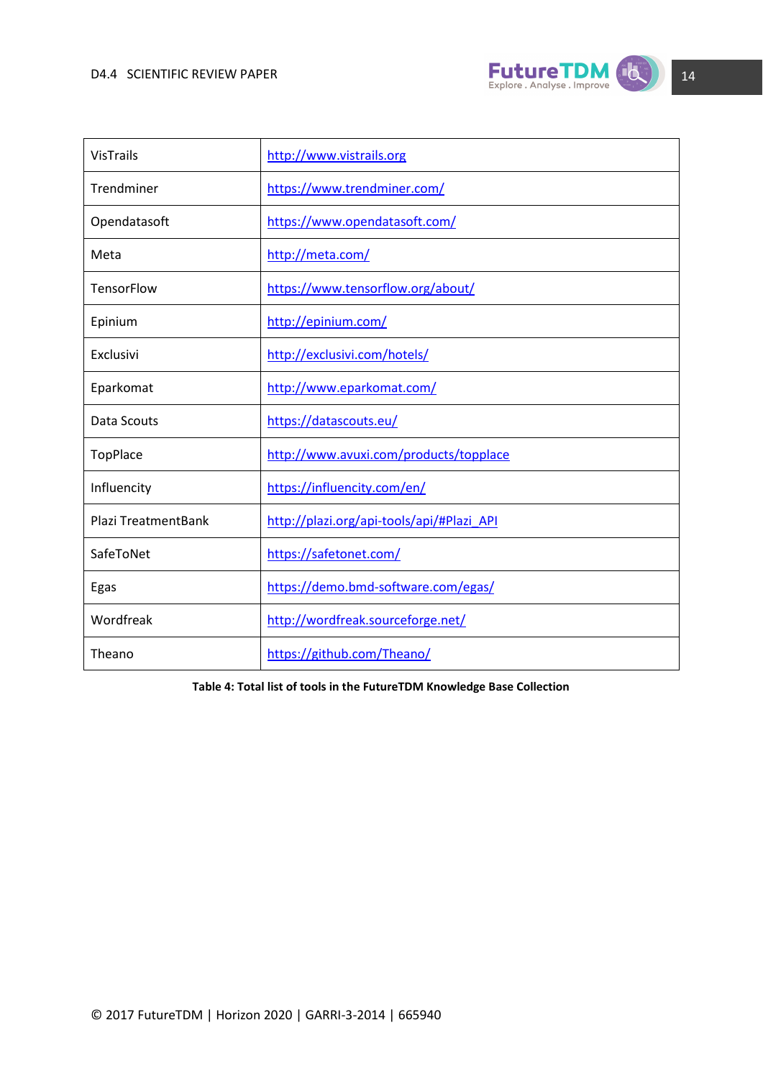

| VisTrails                  | http://www.vistrails.org                  |
|----------------------------|-------------------------------------------|
| Trendminer                 | https://www.trendminer.com/               |
| Opendatasoft               | https://www.opendatasoft.com/             |
| Meta                       | http://meta.com/                          |
| <b>TensorFlow</b>          | https://www.tensorflow.org/about/         |
| Epinium                    | http://epinium.com/                       |
| Exclusivi                  | http://exclusivi.com/hotels/              |
| Eparkomat                  | http://www.eparkomat.com/                 |
| Data Scouts                | https://datascouts.eu/                    |
| TopPlace                   | http://www.avuxi.com/products/topplace    |
| Influencity                | https://influencity.com/en/               |
| <b>Plazi TreatmentBank</b> | http://plazi.org/api-tools/api/#Plazi API |
| SafeToNet                  | https://safetonet.com/                    |
| Egas                       | https://demo.bmd-software.com/egas/       |
| Wordfreak                  | http://wordfreak.sourceforge.net/         |
| Theano                     | https://github.com/Theano/                |

**Table 4: Total list of tools in the FutureTDM Knowledge Base Collection**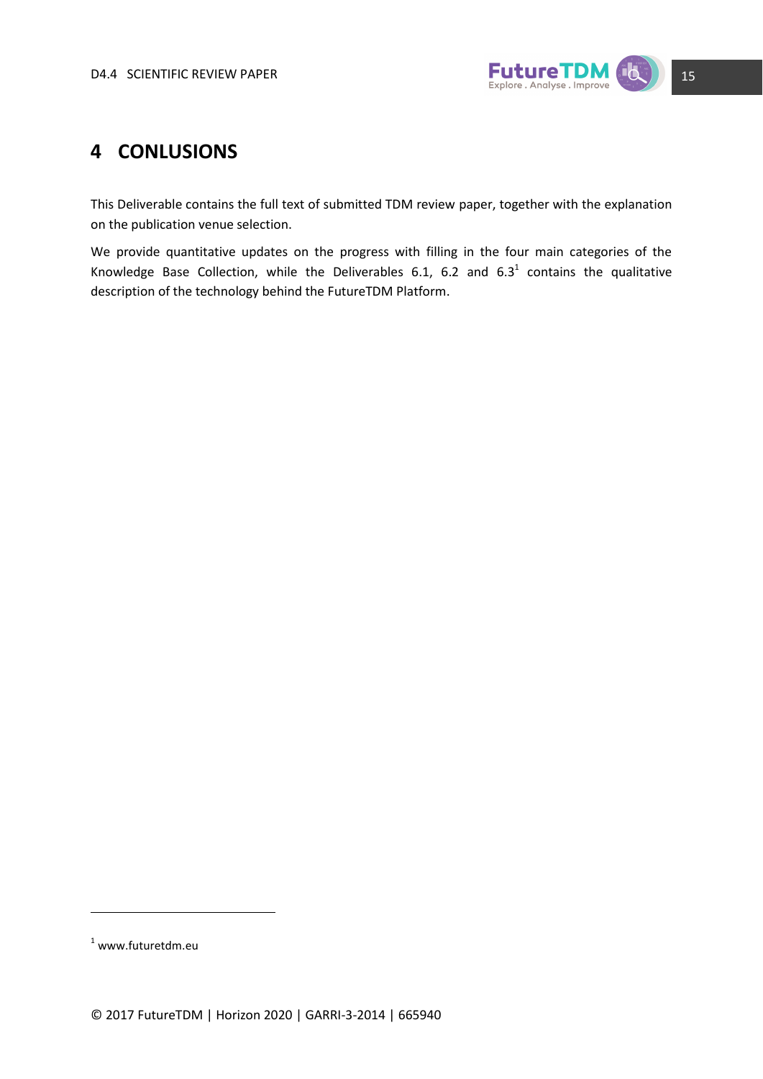

### <span id="page-14-0"></span>**4 CONLUSIONS**

This Deliverable contains the full text of submitted TDM review paper, together with the explanation on the publication venue selection.

We provide quantitative updates on the progress with filling in the four main categories of the Knowledge Base Collection, while the Deliverables 6.1, 6.2 and 6.3<sup>1</sup> contains the qualitative description of the technology behind the FutureTDM Platform.

**.** 

 $1$  www.futuretdm.eu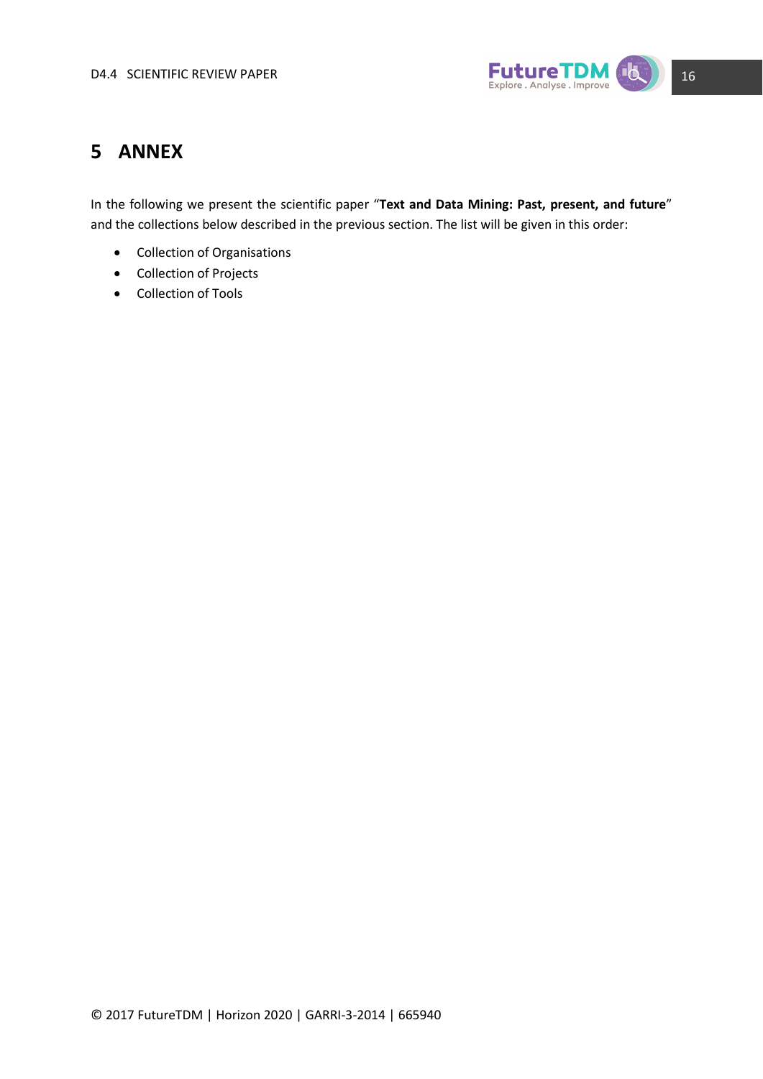

### <span id="page-15-0"></span>**5 ANNEX**

In the following we present the scientific paper "**Text and Data Mining: Past, present, and future**" and the collections below described in the previous section. The list will be given in this order:

- Collection of Organisations
- Collection of Projects
- Collection of Tools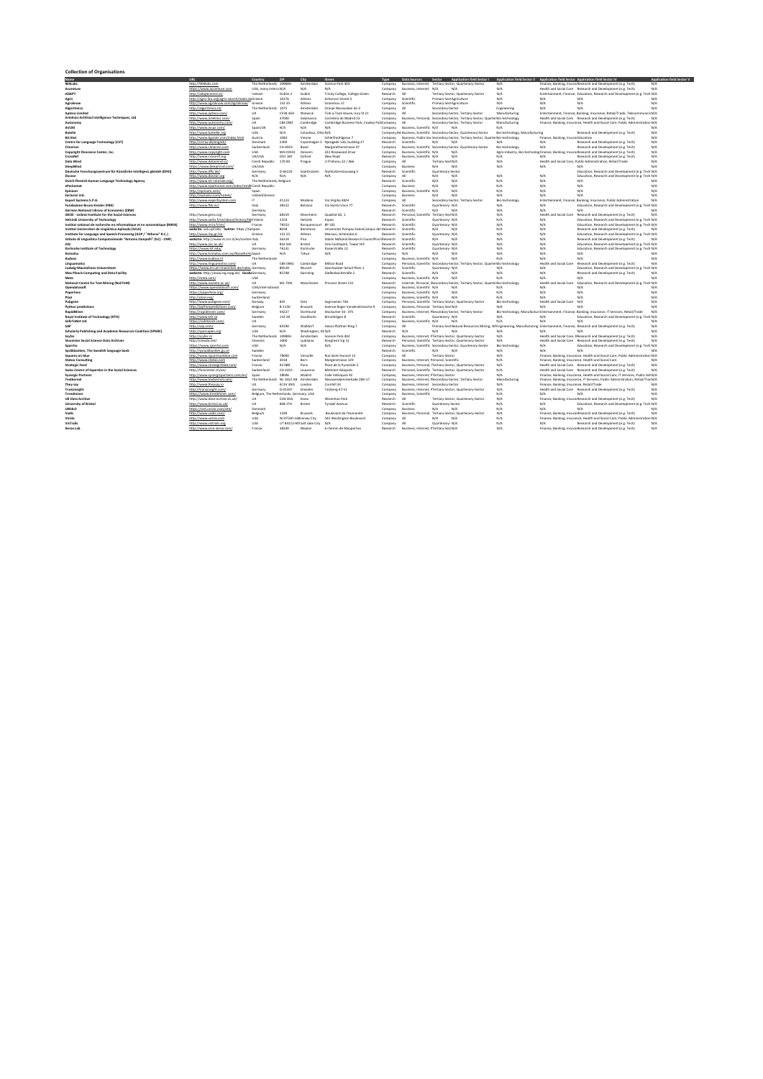| <b>Name</b>                                                                                                                      | <b>TIRL</b>                                                               | Country                                | 71P                      | City                                 | Street                                              | Type                 | Data Sources                                        | <b>Application field Sector I</b><br>Sector                                                                                      | Application field Sector II Application field Sector Application field Sector IV |                                                   |                                                                                                                                    | <b>Application field Sector</b> |
|----------------------------------------------------------------------------------------------------------------------------------|---------------------------------------------------------------------------|----------------------------------------|--------------------------|--------------------------------------|-----------------------------------------------------|----------------------|-----------------------------------------------------|----------------------------------------------------------------------------------------------------------------------------------|----------------------------------------------------------------------------------|---------------------------------------------------|------------------------------------------------------------------------------------------------------------------------------------|---------------------------------|
| 904Lahs                                                                                                                          | http://904labs.com                                                        | The Netherlands 10980H                 |                          | Amsterdam                            | Science Park 407                                    | Company              | <b>Rusiness Internet</b>                            | Tertiary-Sector, Quartenary-Sector                                                                                               | $N/\Delta$                                                                       |                                                   | Finance Ranking InsurarResearch and Development (e.g. Tech                                                                         | N/I                             |
| Acconture                                                                                                                        | https://www.arcenture.com                                                 | USA, many intern; N/A                  |                          | N/A                                  | M/A                                                 | Company              | Rucinecc Internet N/A                               | N/L                                                                                                                              | $N/\Delta$                                                                       |                                                   | Health and Social Care Research and Development (e.g. Tech                                                                         | $N/\Delta$                      |
| ADAPT                                                                                                                            | http://adaptcentre.ie/                                                    | Ireland                                | Dublin 2                 | Dublin                               | Trinity College, College Green                      | Research             | AII                                                 | Tertiary-Sertor Quartenary-Sertor                                                                                                | N/A                                                                              |                                                   | Entertainment, Finance, Education, Research and Development (e.g. Tech N/A                                                         |                                 |
| Apric                                                                                                                            | http://agris.fao.org/agris-search/index.doGreece                          |                                        | 10176                    | Athens                               | Acharnon Street S                                   | Company              | Scientific                                          | Primary-Sect Apriculture                                                                                                         | N/A                                                                              | $N/\Delta$                                        | N/A                                                                                                                                | N/I                             |
| Agroknow                                                                                                                         | http://www.agroknow.com/agroknow/                                         | Greece                                 | 152 35                   | Athens                               | Grammou 17                                          | Company              | Scientific                                          | Primary-SectAgriculture                                                                                                          | N/A                                                                              | $N/\Delta$                                        | N/A                                                                                                                                | N/A                             |
| Algoritmica                                                                                                                      | http://algoritmica.nl/                                                    | The Netherlands                        | 1075                     | Amsterdam                            | Oranie Nassaulaan 62-2                              | Company              | AII                                                 | Secondary-Sector                                                                                                                 | Engineering                                                                      | $N/\Delta$                                        | N/A                                                                                                                                | $N/\Delta$                      |
| <b>Apteco Limited</b>                                                                                                            | http://www.apteco.com/                                                    | TIK                                    | CV34 4FF                 | Warwick                              | Tink-a-Tank House, Jury St 21                       | Company              | AII                                                 | Secondary-Sector, Tertiary-Sector                                                                                                | Manufacturing                                                                    |                                                   | Entertainment, Finance, Banking, Insurance, Retail/Trade, Telecommunica N/A                                                        |                                 |
| Artelnics-Artificial Intelligence Techniques, Ltd.                                                                               | http://www.artelnics.com/                                                 | Snain                                  | 37900                    | Salamanra                            | Carretera de Madrid 13                              | Company              |                                                     | Business, Personal, Secondary-Sector, Tertiary-Sector, QuarterBio-technology                                                     |                                                                                  |                                                   | Health and Social Care Research and Development (e.g. Tech)                                                                        | N/I                             |
| Autonomy                                                                                                                         | http://www.autonomy.com/                                                  | <b>TIK</b>                             | CR4 GW7                  | Cambridge                            | Cambridge Business Park, Cowley Parl Company        |                      | AII                                                 | Secondary/Sector Tertiary/Sector                                                                                                 | Manufacturing                                                                    |                                                   | Finance Ranking Insurance Health and Social Care Public Administration N/A                                                         |                                 |
| AVUXI                                                                                                                            | http://www.ayuxi.com/                                                     | Snain/LIK                              | N/A                      | N/A                                  | N/I                                                 | Company              | Rusiness Scientific N/A                             |                                                                                                                                  | $N/\Delta$                                                                       |                                                   |                                                                                                                                    | N/I                             |
| <b>Ratelle</b><br><b>BG Stat</b>                                                                                                 | http://www.battelle.org                                                   | <b>HSA</b><br>Austria                  | N/A<br>1040              | Columbus, Ohio N/A<br>Vienna         |                                                     | Company<br>Company   |                                                     | e Business, Scientific Secondary-Sector, Quartenary-Sector                                                                       | Bio-technology, Manufacturing                                                    |                                                   | Research and Development (e.g. Tech)                                                                                               | N/A                             |
|                                                                                                                                  | http://www.bestats.com/index.html                                         | Denmark                                | 2300                     | Concebagen <sup>5</sup>              | Schleifmühleasse 7                                  | Research             | Scientific                                          | Business, Public Sec Secondary-Sector, Tertiary-Sector, Quarter Bio-technology<br>$N/\Delta$                                     | N/L                                                                              | Finance, Banking, Insurar Education<br>$N/\Delta$ |                                                                                                                                    | N/A                             |
| Centre for Language Technology (CST)<br>Clinorion                                                                                | http://cst.ku.dk/english/<br>http://www.clinerion.com                     | Switzerland                            | CH-4053                  | Racel                                | Njalsgade 136, building 27<br>Margarethenstrasse 47 | Company              |                                                     | Business, Scientific Secondary-Sector, Quartenary-Sector                                                                         | <b>Rio-technology</b>                                                            | $M/\Delta$                                        | Research and Development (e.g. Tech)<br>Research and Development (e.g. Tech-                                                       | N/A<br>$N/\Delta$               |
| Coovright Clearance Center, Inc.                                                                                                 | http://www.copyright.com                                                  | <b>USA</b>                             | MA 0192                  | Danvers                              | 222 Rosewood Drive                                  | Compan               | Business, Scientific N/A                            | N/A                                                                                                                              |                                                                                  |                                                   | Agro-industry, Bio-technolog Finance, Banking, Insural Research and Development (e.g. Tech)                                        | N/A                             |
| CrossRef                                                                                                                         | http://www.crossref.org                                                   | UK/USA                                 | OX1 18Y                  | Oxford                               | New Road                                            | Research             | Business, Scientific N/A                            | N/f                                                                                                                              | N/A                                                                              | N/A                                               | Research and Development (e.g. Tech)                                                                                               | N/A                             |
| Data Mind                                                                                                                        | http://www.datamind.cz/                                                   | Czech Republic                         | 170 00                   | Prague                               | U Průhonu 22 / 466                                  | Compan               | All                                                 | Tertiary-Sect N/A                                                                                                                | N/A                                                                              |                                                   | Health and Social Care, Public Administration, Retail/Trade                                                                        | N/A                             |
| DeepMind                                                                                                                         | https://www.deepmind.com/                                                 | <b>HK/HSA</b>                          |                          |                                      |                                                     | Compan               | Rusiness                                            | N/A<br>N/L                                                                                                                       | N/A                                                                              | N/A                                               | $N/\Delta$                                                                                                                         | N/I                             |
| Deutsche Forschungszentrum für Künstliche Intelligenz gGmbH (DFKI)                                                               | http://www.dfki.de/                                                       | Germany                                | D-66123                  | Saarhrücken                          | Stuhlsatzenhausweg 3                                | Research             | Scientific                                          | Quartenary-Sector                                                                                                                |                                                                                  |                                                   | Education, Research and Development (e.g. Tech N/A                                                                                 |                                 |
| Docean                                                                                                                           | http://www.docear.org                                                     | N/A                                    | N/A                      | N/A                                  | N/I                                                 | Company              | AII                                                 | N/L<br>N/L                                                                                                                       | N/A                                                                              | N/A                                               | Education, Research and Development (e.g. Tech N/A                                                                                 |                                 |
| Dutch-Flemish Human Language Technology Agency                                                                                   | http://www.tst-centrale.org/                                              | The Netherlands, Belgium               |                          |                                      |                                                     | Research             | Scientific                                          | N/A<br>N/A                                                                                                                       | N/A                                                                              | N/A                                               | N/A                                                                                                                                | N/f                             |
| eParkomat                                                                                                                        | http://www.eparkomat.com/index.html# Czech Republic                       |                                        |                          |                                      |                                                     | Compan               | Rusiness                                            | N/L<br>N/L                                                                                                                       | N/A                                                                              | N/A                                               | $N/\Delta$                                                                                                                         | N/A                             |
| Foinium                                                                                                                          | http://eninium.com/                                                       | Spain                                  |                          |                                      |                                                     | Company              | Rusiness Scientific N/A                             | N/L                                                                                                                              | N/A                                                                              | $N/\Delta$                                        | N/A                                                                                                                                | N/A                             |
| Furthering Ltd.                                                                                                                  | http://exclusivi.com/hotels                                               | Ireland/Greece                         |                          |                                      |                                                     | Company              | Business                                            | N/L<br>N/A                                                                                                                       | N/A                                                                              | N/A                                               | N/A                                                                                                                                | N/A                             |
| <b>Expert Systems S.P.A.</b>                                                                                                     | http://www.expertsystem.com                                               | IT.                                    | 41123                    | Modena                               | Via Virgilio 48/H                                   | Company              | AII                                                 | Secondary-Sector, Tertiary-Sector                                                                                                | Bio-technolog                                                                    |                                                   | Entertainment, Finance, Banking, Insurance, Public Administration                                                                  | $N/\Delta$                      |
| Fondazione Rouno Kessler (FRK)                                                                                                   | http://www.fbk.eu/                                                        | Italy                                  | 38122                    | <b>Bolzano</b>                       | Via Santa Croce 77                                  | Research             | Scientific                                          | Quartenary, N/A                                                                                                                  | $N/\Delta$                                                                       | $N/\Delta$                                        | Education, Research and Development (e.g. Tech N/A                                                                                 |                                 |
| German National Library of Economics (ZBW)<br>GESIS - Leibniz-Institute for the Social Sciences                                  |                                                                           | Germany                                |                          |                                      |                                                     | Research             | Scientific                                          | $N/\Delta$<br>N/4                                                                                                                | $N/\Delta$                                                                       | $N/\Delta$                                        | N/A                                                                                                                                | N/I<br>N/I                      |
| <b>Helsinki University of Technology</b>                                                                                         | http://www.gesis.org<br>http://www.aalto.fi/en/about/history/tkkFinland   | Germany                                | 68159<br>2150            | Mannheim<br>Helcinki                 | Quadrat R2_1<br>Fonno                               | Research<br>Research | Personal, Scientific Tertiary-SectN/A<br>Scientific | Quartenary, N/A                                                                                                                  | $N/\Delta$<br>$N/\Delta$                                                         | N/A                                               | Health and Social Care Research and Development (e.g. Tech)<br>Education, Research and Development (e.g. Tech N/A                  |                                 |
|                                                                                                                                  |                                                                           | France                                 | 78153                    |                                      | <b>RP 105</b>                                       | Research             | Scientific                                          | Quartenary-N/A                                                                                                                   | N/A                                                                              | N/A                                               |                                                                                                                                    |                                 |
| Institut national de recherche en informatique et en automatique (INRIA)<br>Institut Universitari de Lingüística Aplicada (IULA) | http://www.inria.fr/en/<br>website: jula.upf.edu twitter: https://twSpain |                                        | R <sub>018</sub>         | Rocquencourt<br><b>Barrelona</b>     | Universitat Pompeu FahraCampus del Research         |                      | Scientific                                          | $N/\Delta$<br>M/I                                                                                                                | $N/\Delta$                                                                       | N/A                                               | Education, Research and Development (e.g. Tech N/A<br>Research and Development (e.g. Tech)                                         | N/I                             |
| Institute for Language and Speech Processing (ILSP / "Athena" R.C.)                                                              | http://www.ilsp.er/en                                                     | Greece                                 | 151.25                   | Athens                               | Marquisi Artemidos 6                                | Research             | Scientific                                          | Quartenary, N/A                                                                                                                  | $N/\Delta$                                                                       | $N/\Delta$                                        | Education, Research and Development (e.g. Tech N/A                                                                                 |                                 |
| Istituto di Linguistica Computazionale "Antonio Zampolli" (ILC) - CNR\                                                           | website: http://www.ilc.cnr.it/en/conten Italy                            |                                        | 56124                    | Pica                                 | Italian National Research CouncilPisa (Research     |                      | Scientific                                          | $N/\Delta$<br>N/L                                                                                                                | $N/\Delta$                                                                       | $N/\Delta$                                        | Research and Development (e.g. Tech-                                                                                               | N/I                             |
| <b>JISC</b>                                                                                                                      | http://www.lisc.ac.uk/                                                    | TIK                                    | <b>BS2 0JA</b>           | Bristol                              | One Castlenark Tower Hill                           | Research             | Scientific                                          | Quartenary, N/A                                                                                                                  | N/A                                                                              | $N/\Delta$                                        | Education, Research and Development (e.g. Tech N/A                                                                                 |                                 |
| Karlsruhe Institute of Technology                                                                                                | https://www.kit.edu/                                                      | Germany                                | 76131                    | Karlsruhe                            | Kaiserstraße 12                                     | Research             | Scientific                                          | Quartenary, N/A                                                                                                                  | N/A                                                                              | N/A                                               | Education, Research and Development (e.g. Tech N/A                                                                                 |                                 |
| Komatsu                                                                                                                          | http://www.komatsu.com.au/AboutKom:Japan                                  |                                        | N/A                      | Tokyo                                | N/L                                                 | Company              | N/L                                                 | N/L<br>N/I                                                                                                                       | N/A                                                                              | N/A                                               | $N/\Delta$                                                                                                                         | N/I                             |
| Kudoos                                                                                                                           | http://www.kudoos.nl                                                      | The Netherlands                        |                          |                                      |                                                     | Compan               | Rusiness Scientific N/A                             | N/I                                                                                                                              | N/A                                                                              | N/A                                               | $N/\Delta$                                                                                                                         | N/A                             |
| Linguamatics                                                                                                                     | http://www.linguamatics.com/                                              | ПK                                     | CR4 CM/G                 | Cambridge                            | Milton Road                                         | Compan               |                                                     | Personal, Scientific Secondary-Sector, Tertiary-Sector, Quarter Bio-technology                                                   |                                                                                  |                                                   | Health and Social Care Research and Development (e.g. Tech)                                                                        | N/I                             |
| Ludwig-Maximilians-Universitaet                                                                                                  | https://www.en.uni-muenchen.de/index. Germany                             |                                        | 80539                    | Munich                               | Geschwister-Scholl-Platz 1                          | Researc              | Scientific                                          | Quartenary, N/A                                                                                                                  | N/L                                                                              | $N/\Delta$                                        | Education, Research and Development (e.g. Tech N/A                                                                                 |                                 |
| Max Planck Computing and Data Facility                                                                                           | website: http://www.rzg.mpg.de/ facebrGermany                             |                                        | 85748                    | Garching                             | Gießenhachstraße 7                                  | Researc              | Scientific                                          | N/L<br>N/I                                                                                                                       | $N/\Delta$                                                                       | N/A                                               | Research and Development (e.g. Tech)                                                                                               | N/I                             |
| Meta                                                                                                                             | http://meta.com/                                                          | <b>USA</b>                             |                          |                                      |                                                     | Compar               | Business, Scientific N/A                            | N/A                                                                                                                              | N/A                                                                              | N/A                                               | N/A                                                                                                                                | N/f                             |
| National Centre for Text Mining (NaCTeM)<br>Onendatasoft                                                                         | http://www.nactem.ac.uk/                                                  | <b>TIK</b><br><b>USA/international</b> | <b>M1 7DN</b>            | Manchester                           | Princess Street 131                                 | Research             |                                                     | Internet, Personal, SSecondary-Sector, Tertiary-Sector, Quarter Bio-technology                                                   |                                                                                  |                                                   | Health and Social Care Education, Research and Development (e.g. Tech N/A                                                          |                                 |
| Panerhive                                                                                                                        | https://www.opendatasoft.com/<br>https://nanerhive.org/                   | Germany                                |                          |                                      |                                                     | Company<br>Company   | Rucinecc Scientific N/A<br>Rucinecc Scientific N/A  | N/L<br>N/L                                                                                                                       | N/A<br>N/A                                                                       | $N/\Delta$<br>$N/\Delta$                          | $N/\Delta$<br>$N/\Delta$                                                                                                           | N/I<br>N/A                      |
| Plazi                                                                                                                            | http://nlaxi.org                                                          | Switzerland                            |                          |                                      |                                                     | Compan               | Rusiness Scientific N/A                             | N/L                                                                                                                              | $N/\Delta$                                                                       | N/A                                               | N/A                                                                                                                                | N/A                             |
| Puhgene                                                                                                                          | http://www.nubeene.com                                                    | Nonway                                 | 855                      | Oslo                                 | Snensyeien 70A                                      | Compan               |                                                     | Personal, Scientific Tertiary-Sector, Quartenary-Sector                                                                          | Rio, technology                                                                  | Health and Social Care                            | N/A                                                                                                                                | N/A                             |
| Python predictions                                                                                                               | http://puthonnredictions.com                                              | Belgium                                | B-1150                   | <b>Brussels</b>                      | Avenue Roger Vandendriessche 9                      | Compar               | Business, Personal Tertiary-Sect N/A                |                                                                                                                                  | N/A                                                                              | N/A                                               | N/A                                                                                                                                | N/A                             |
| RapidMiner                                                                                                                       | http://rapidminer.com/                                                    | Germany                                | 44227                    | Dortmund                             | Stockumer Str. 475                                  | Compar               |                                                     | Business, Internet, FSecondary-Sector, Tertiary-Sector                                                                           |                                                                                  |                                                   | Bio-technology, Manufacturi Entertainment, Finance, Banking, Insurance, IT Services, Retail/Trade                                  | N/I                             |
| Royal Institute of Technology (KTH)                                                                                              | http://www.kth.se                                                         | Sweder                                 | 114 28                   | Stockholm                            | Brinellvägen 8                                      | Research             | Scientific                                          | Quartenary-N/A                                                                                                                   | N/A                                                                              | $N/\Delta$                                        | Education, Research and Development (e.g. Tech N/A                                                                                 |                                 |
| SafeToNet Ltd                                                                                                                    | https://safetonet.com/                                                    | <b>TIK</b>                             |                          |                                      |                                                     | Compan               | Business, Scientific N/A                            | M/I                                                                                                                              | N/A                                                                              | N/A                                               | N/A                                                                                                                                | N/A                             |
| SAF                                                                                                                              | http://sap.com/                                                           | Germany                                | 69190                    | Walldorf                             | Hasso-Plattner-Ring 7                               | Company              | AII                                                 | Primary-SectNatural Resources Mining, WI Engineering, Manufacturing Entertainment, Finance, Research and Development (e.g. Tech) |                                                                                  |                                                   |                                                                                                                                    | N/A                             |
| Scholarly Publishing and Academic Resources Coalition (SPARC)                                                                    | http://sparcopen.org                                                      | <b>HSA</b>                             | $N/\Delta$               | Washington, DCN/A                    |                                                     | Research             | N/L                                                 | $N/\Delta$<br>N/L                                                                                                                | $N/\Delta$                                                                       | N/L                                               | N/A                                                                                                                                | N/A                             |
| Sovier                                                                                                                           | http://scyfer.nl                                                          | The Netherlands                        | 109809                   | Amsterdam                            | Science Park 402                                    | Company              |                                                     | Business, Internet, FTertiary-Sector, Quartenary-Sector                                                                          | $N/\Delta$                                                                       |                                                   | Health and Social Care, RResearch and Development (e.g. Tech                                                                       | N/A                             |
| Slovenian Social Science Data Archives                                                                                           | http://cessda.net/                                                        | Slovenia                               | 1000                     | Liubliana                            | Kongresni trg 12                                    | Research             |                                                     | Personal, Scientific Tertiary-Sector, Quartenary-Sector                                                                          | N/A                                                                              |                                                   | Health and Social Care Research and Development (e.g. Tech)                                                                        | $N/\Delta$                      |
| Snarrho                                                                                                                          | https://www.snarrho.com                                                   | 115A                                   | N/A                      | N/A                                  | N/L                                                 | Compan               |                                                     | Business, Scientific Secondary-Sector, Quartenary-Sector                                                                         | Bio-technology                                                                   | $N/\Delta$                                        | Education, Research and Development (e.g. Tech N/A                                                                                 |                                 |
| Språkbanken, The Swedish language bank                                                                                           | http://coraakhanken.gu.se<br>http://www.squaresonblue.com                 | Sweden                                 | 79000                    |                                      |                                                     | Research             | <b>Scientific</b><br>AIL                            | $N/\Delta$<br>M/I                                                                                                                | N/A                                                                              | M/A                                               | M/A                                                                                                                                | N/I                             |
| Squares on blue<br><b>Staton Consulting</b>                                                                                      | http://www.statoo.com                                                     | France<br>Switzerland                  | 3018                     | Versaille<br>Rern                    | Rue Saint Honoré 13<br>Morgenstrasse 129            | Company<br>Compan    | Rucinecc Internet Personal Scientific               | Tertiary-Sector                                                                                                                  | N/A<br>$N/\Delta$                                                                |                                                   | Finance, Banking, Insurance, Health and Social Care, Public Administration N/A<br>Finance Banking Insurance Health and Social Care | $N/\Delta$                      |
| <b>Strategir Feed</b>                                                                                                            | http://www.strategirfeed.com/                                             | France                                 | 92.088                   | Paris                                | Place de la Pyramide S                              | Company              |                                                     | Rusiness Personal 'Tertiary-Sector Quartenary-Sector                                                                             | $N/\Delta$                                                                       |                                                   | Health and Social Care Research and Development (e.g. Tech                                                                         | $N/\Delta$                      |
| Swiss Centre of Expertise in the Social Sciences                                                                                 | http://forscenter.ch/en/                                                  | Switzerland                            | CH-1015                  | Lausanne                             | <b>Bätiment Géonglis</b>                            | Research             |                                                     | Personal, Scientific Tertiary-Sector, Quartenary-Sector                                                                          | $N/\Delta$                                                                       |                                                   | Health and Social Care Research and Development (e.g. Tech                                                                         | $N/\Delta$                      |
| Synereic Partners                                                                                                                | http://www.synergicnartners.com/en/                                       | Snain                                  | 28006                    | Madrid                               | Calle Velázouez 92                                  | Company              | Rusiness Internet FTertiary-Sector                  |                                                                                                                                  | $N/\Delta$                                                                       |                                                   | Finance Ranking Insurance Health and Social Care IT Services Public AduN/A                                                         |                                 |
| Textkernel                                                                                                                       | http://www.textkernel.com/                                                | The Netherlands NL-1022 AL             |                          | Amsterdam                            | Nieuwendammerkade 284-17                            | Company              |                                                     | Rusiness Internet [Secondary/Sector Tertiary/Sector                                                                              | Manufacturing                                                                    |                                                   | Finance Ranking Insurance IT Services Public Administration Retail/TracN/A                                                         |                                 |
| They say                                                                                                                         | http://www.theysay.jo                                                     | <b>TIK</b>                             | EC3V 3ND                 | London                               | Cornhill 24                                         | Company              | Business, Internet Secondary-Sector                 |                                                                                                                                  | N/A                                                                              | Finance, Banking, Insurance, Retail/Trade         |                                                                                                                                    | N/I                             |
| Transinsight                                                                                                                     | http://transinsight.com/                                                  | Germany                                | D-01307                  | Dresden                              | Tatzberg 47-51                                      | Company              |                                                     | Business, Internet, FTertiary-Sector, Quartenary-Sector                                                                          | N/A                                                                              |                                                   | Health and Social Care Research and Development (e.g. Tech)                                                                        | N/A                             |
| Trendminer                                                                                                                       | https://www.trendminer.com/                                               | Belgium. The Netherlands, Ge           |                          | many, USA                            |                                                     | Company              | <b>Rusiness Scientific</b>                          |                                                                                                                                  | N/A                                                                              | $N/\Delta$                                        | $N/\Delta$                                                                                                                         | N/A                             |
| <b>LIK Data Archive</b>                                                                                                          | http://www.data-archive.ac.uk/                                            | <b>TIK</b>                             | cna sso                  | Fotoy                                | Wivenhoe Park                                       | Research             | AII                                                 | Tertiary-Sector, Quartenary-Sector                                                                                               | N/A                                                                              |                                                   | Finance Banking Insurai Research and Development (e.g. Tech)                                                                       | $N/\Delta$                      |
|                                                                                                                                  | http://www.bristol.ac.uk/                                                 | <b>LIK</b>                             | RSR 1TH                  | <b>Rristol</b>                       | Tyndall Avenue                                      | Research             | Scientific                                          | Quartenary-Sector                                                                                                                | N/A                                                                              | $N/\Delta$                                        | Education, Research and Development (e.g. Tech N/A                                                                                 |                                 |
|                                                                                                                                  |                                                                           |                                        |                          |                                      |                                                     |                      |                                                     |                                                                                                                                  |                                                                                  |                                                   |                                                                                                                                    |                                 |
|                                                                                                                                  | https://site.unsilo.com/site/                                             | Denmark                                |                          |                                      |                                                     | Company              | Rusiness                                            | $N/\Delta$<br>$N/\Delta$                                                                                                         | $N/\Delta$                                                                       | $N/\Delta$                                        | N/A                                                                                                                                | N/I                             |
|                                                                                                                                  | http://www.vadis.com/                                                     | Belgium                                | 1190                     | <b>Brussels</b>                      | Boulevard de l'Humanité                             | Company              |                                                     | Business, Personal Tertiary-Sector, Quartenary-Sector                                                                            | N/A                                                                              |                                                   | Finance, Banking, Insurar Research and Development (e.g. Tech)                                                                     | N/A                             |
| University of Bristol<br><b>LINSILO</b><br>Vadio<br><b>Merick</b>                                                                | http://www.yerisk.com                                                     | <b>USA</b>                             | NJ 07310-168 Jersey City |                                      | 545 Washington Boulevard                            | Company              | AII                                                 | $N/\Delta$<br>N/L                                                                                                                | N/A                                                                              |                                                   | Finance, Banking, Insurance, Health and Social Care, Public Administration N/A                                                     |                                 |
| W <trails<br><b>Xerox Lab</b></trails<br>                                                                                        | http://www.vistrails.org<br>http://www.xrce.xerox.com/                    | 1154<br>France                         | 38740                    | UT 84112-905Salt Lake City<br>Mevian | N/4<br>6 chemin de Maunertuis                       | Company<br>Research  | AII<br>Business, Internet, FTertiary-SectN/A        | Quartenary, N/A                                                                                                                  | $N/\Delta$<br>$N/\Delta$                                                         |                                                   | Research and Development (e.g. Tech)<br>Finance, Banking, Insura: Research and Development (e.g. Tech)                             | N/I<br>$N/\Delta$               |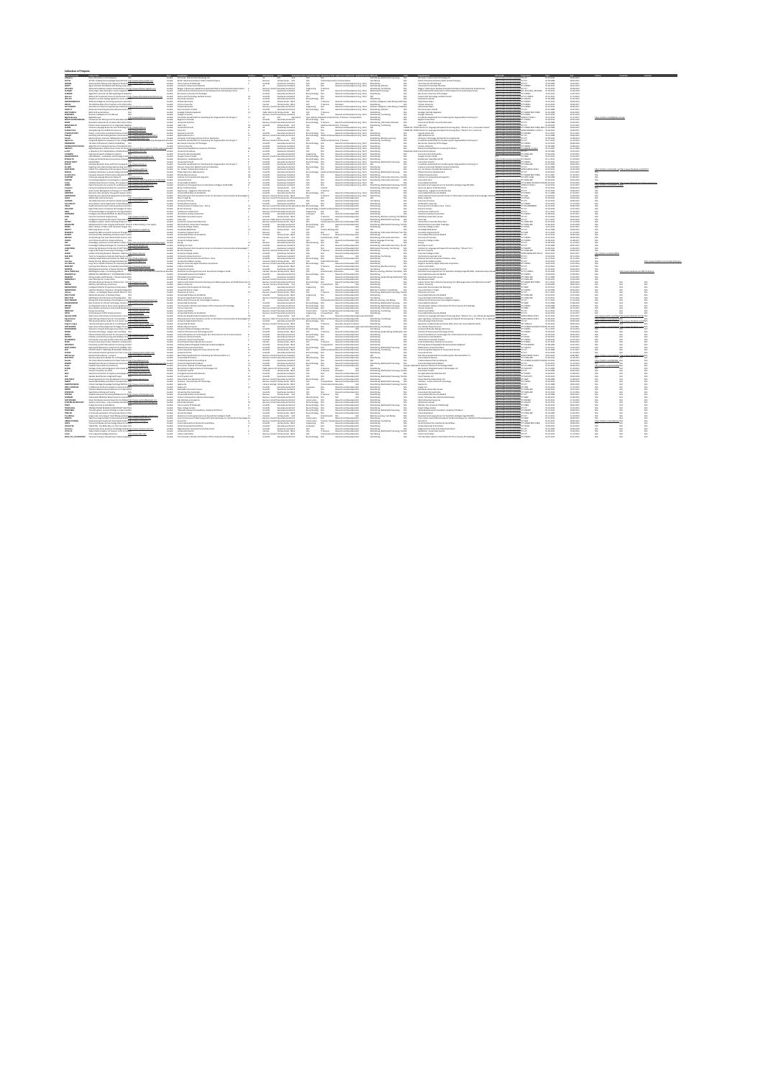| <b>STORIES</b>                          | <b>Project Toda</b><br>j<br>in Virtual Season                                                                                                                                                                                                                                                                                                                                                     |                                                                                                                                                                                                                                                                                                                                                                                                            | Type Constitutor<br>Louis Lan Inn borning lowers for Embroya (11)                                                                                                                                                                                |                                                                           | <b>Cuta Courses Coder - App</b>                                                                                                                                                                                                                                                                                                                                                                                                     |                                                                 |                                                                                                                                                                                                                                                                                                                                                                                                                                       | field Avelaution field Avelaution field Avelaution field Serior Avelaution field Methods                                                                                                                                                                                                                                                                                                                                                                                                                            |                                                                                                                                                                                                                      |                          | Organizations<br>Antico establishment dell'Internazionale                                                                                                                                                                                     | <b>URLOWN</b>                                                                                                                                                                                                                                                                                                                                                                                                                                   |                                             | <b>Dat</b>                                                                              | $\frac{1}{100}$                                                                                            |                                    |                                       |
|-----------------------------------------|---------------------------------------------------------------------------------------------------------------------------------------------------------------------------------------------------------------------------------------------------------------------------------------------------------------------------------------------------------------------------------------------------|------------------------------------------------------------------------------------------------------------------------------------------------------------------------------------------------------------------------------------------------------------------------------------------------------------------------------------------------------------------------------------------------------------|--------------------------------------------------------------------------------------------------------------------------------------------------------------------------------------------------------------------------------------------------|---------------------------------------------------------------------------|-------------------------------------------------------------------------------------------------------------------------------------------------------------------------------------------------------------------------------------------------------------------------------------------------------------------------------------------------------------------------------------------------------------------------------------|-----------------------------------------------------------------|---------------------------------------------------------------------------------------------------------------------------------------------------------------------------------------------------------------------------------------------------------------------------------------------------------------------------------------------------------------------------------------------------------------------------------------|---------------------------------------------------------------------------------------------------------------------------------------------------------------------------------------------------------------------------------------------------------------------------------------------------------------------------------------------------------------------------------------------------------------------------------------------------------------------------------------------------------------------|----------------------------------------------------------------------------------------------------------------------------------------------------------------------------------------------------------------------|--------------------------|-----------------------------------------------------------------------------------------------------------------------------------------------------------------------------------------------------------------------------------------------|-------------------------------------------------------------------------------------------------------------------------------------------------------------------------------------------------------------------------------------------------------------------------------------------------------------------------------------------------------------------------------------------------------------------------------------------------|---------------------------------------------|-----------------------------------------------------------------------------------------|------------------------------------------------------------------------------------------------------------|------------------------------------|---------------------------------------|
| <b>ACTM</b>                             | ACTVD Enabling the Ensuinday Power of Enter http://www.active.com/est.eu/                                                                                                                                                                                                                                                                                                                         | Patrick<br>Pondesi                                                                                                                                                                                                                                                                                                                                                                                         | British Telecommunications Public Limited Company<br>The Limited by Off directory                                                                                                                                                                | Basimon<br>Galeria                                                        | Teriary Series 14.5                                                                                                                                                                                                                                                                                                                                                                                                                 | ÷.                                                              |                                                                                                                                                                                                                                                                                                                                                                                                                                       | are and Journalism<br>Research and Development (e.g. Text)  Data Maring                                                                                                                                                                                                                                                                                                                                                                                                                                             |                                                                                                                                                                                                                      | $\frac{100}{100}$        | British Telesammunisations Public Limited Company<br>The Linkweshy Of Edinburgh                                                                                                                                                               | .<br>New Albumelin, process and handles (PP-KT)<br>New Albumelin, process and handles (PP-KT)                                                                                                                                                                                                                                                                                                                                                   |                                             | 0149-2008                                                                               | 3800.0011<br>11:05.0011                                                                                    |                                    |                                       |
|                                         | Jakansasi Data Mining and Integration Research http://www.atm<br>Janni Oriented Detributed Data Mining using Calci <i>li</i><br>Jakansasi predictive analysis beard decision working Theory after                                                                                                                                                                                                 |                                                                                                                                                                                                                                                                                                                                                                                                            |                                                                                                                                                                                                                                                  |                                                                           |                                                                                                                                                                                                                                                                                                                                                                                                                                     |                                                                 | MA.<br>io.                                                                                                                                                                                                                                                                                                                                                                                                                            | Amenon and Development (e.g. Tech) — Data Meing Datistics<br>Amenon and Development (e.g. Tech) — Data Meing Datistics<br>Amenon and Development (e.g. Tech) — Multimatic Processing<br>Amenon and Development (e.g. Tech) — Main M                                                                                                                                                                                                                                                                                 |                                                                                                                                                                                                                      | ż                        |                                                                                                                                                                                                                                               | Check power of the FP FOND                                                                                                                                                                                                                                                                                                                                                                                                                      |                                             | 01.01.2008                                                                              |                                                                                                            |                                    |                                       |
|                                         |                                                                                                                                                                                                                                                                                                                                                                                                   |                                                                                                                                                                                                                                                                                                                                                                                                            | Technicale Universitest Causine<br>Mague: Tuskmanyrs Electronic V                                                                                                                                                                                |                                                                           | Quartersary SenterS/S<br>Secondary Senter S/S                                                                                                                                                                                                                                                                                                                                                                                       | ara.<br>Engineering                                             |                                                                                                                                                                                                                                                                                                                                                                                                                                       |                                                                                                                                                                                                                                                                                                                                                                                                                                                                                                                     |                                                                                                                                                                                                                      |                          | Technische Universitant Clausihal<br>Magner Tuskmaryes Alaskemia V                                                                                                                                                                            |                                                                                                                                                                                                                                                                                                                                                                                                                                                 |                                             | $\frac{41.06.2061}{41.30.2068}$                                                         | $\begin{array}{r} 1447.3111 \\ 3539.3111 \\ 1539.3111 \\ 11437.3114 \\ 1447.3114 \\ 1112.3114 \end{array}$ |                                    |                                       |
| <b>HISRO</b><br><b><i>HMOND</i></b>     | Johne læge sode learning for stual recognition 1015<br>Algorithen and Taols for Mining Bological lægad(15<br>Alfance for Permanent Josens to the Records of Irity:                                                                                                                                                                                                                                | <b>Funded</b>                                                                                                                                                                                                                                                                                                                                                                                              | Institut National De Restembe De Informatique D De Automatique (Insta)<br>Ben Gurian University Of The Negro<br>Licence And Technology Facilities Ceunsi                                                                                         | binata<br>Santa                                                           | Quartenary Senter(4)<br>Secondary Senter (4)<br>Quartenary Sente(4)                                                                                                                                                                                                                                                                                                                                                                 | A/A                                                             | aga.                                                                                                                                                                                                                                                                                                                                                                                                                                  |                                                                                                                                                                                                                                                                                                                                                                                                                                                                                                                     |                                                                                                                                                                                                                      |                          | Institut Kational De Reshamine Ds Informatique Di Dr Automatique (Innia)<br>Ben Gurian University Of The Negro<br>Science And Technology Facilities Council                                                                                   | manufacture ERC 2002-ADD                                                                                                                                                                                                                                                                                                                                                                                                                        |                                             | 01.04.2063                                                                              |                                                                                                            |                                    |                                       |
| <b>Apartment</b><br>ano ers             | analysis systems bisings analysi to same analy                                                                                                                                                                                                                                                                                                                                                    | Pumping<br>Pumping<br><b>Funded</b>                                                                                                                                                                                                                                                                                                                                                                        | <b>Sendingly Institutes</b>                                                                                                                                                                                                                      | <b>Scientific</b>                                                         | <b>Scoredare Sector N.N.</b>                                                                                                                                                                                                                                                                                                                                                                                                        | Ein texteningy<br>A/A<br>Extendentings AUL                      | $\frac{10\lambda}{10\lambda}$                                                                                                                                                                                                                                                                                                                                                                                                         |                                                                                                                                                                                                                                                                                                                                                                                                                                                                                                                     |                                                                                                                                                                                                                      |                          | <b>Sendings Institute</b>                                                                                                                                                                                                                     | <b>Microsoft Scottish and Microsoft Scottish (2001)</b><br>Microsoft Scottish and Microsoft Scottish (2001)<br>Microsoft Scottish and Microsoft Scottish (2001)<br>Microsoft Scottish and Microsoft Scottish (2001)<br>Microsoft Scottish a                                                                                                                                                                                                     |                                             | 25.07.2003<br>0149-2008                                                                 | 1146,2012                                                                                                  |                                    |                                       |
| MENORMATICA                             | brillion intelligence boarching arouncars and cabili-                                                                                                                                                                                                                                                                                                                                             | Pumpled                                                                                                                                                                                                                                                                                                                                                                                                    | Pollumbridge Senior                                                                                                                                                                                                                              | <b>Scientific</b>                                                         | <b>Senate Series GMS</b>                                                                                                                                                                                                                                                                                                                                                                                                            | MA.                                                             | <b>C.Service</b>                                                                                                                                                                                                                                                                                                                                                                                                                      |                                                                                                                                                                                                                                                                                                                                                                                                                                                                                                                     | East Maing<br>Research and Development (e.g. Text) — Artificial Intelligence, Cata Mining, Mach N(%                                                                                                                  |                          | Politichedus Sanka                                                                                                                                                                                                                            |                                                                                                                                                                                                                                                                                                                                                                                                                                                 |                                             | 01.30.2002                                                                              | 30.09.2014                                                                                                 |                                    |                                       |
| ARTINE<br>AUTOURING                     | The Affective Bale of the Trackers in the Informability<br>Automotive Production Engineering Unified Pendrifts                                                                                                                                                                                                                                                                                    |                                                                                                                                                                                                                                                                                                                                                                                                            | Tel Ante Lehershy<br>Politechnika Sanka                                                                                                                                                                                                          |                                                                           |                                                                                                                                                                                                                                                                                                                                                                                                                                     | ara.<br>Engineering                                             | $\frac{\partial \log \log n}{\log \Delta}$                                                                                                                                                                                                                                                                                                                                                                                            |                                                                                                                                                                                                                                                                                                                                                                                                                                                                                                                     |                                                                                                                                                                                                                      | no.                      | Tel Ante Linternity<br>Politechnike Stecke                                                                                                                                                                                                    |                                                                                                                                                                                                                                                                                                                                                                                                                                                 | <b>CASCAL</b>                               | $0.10,2013$<br>$01,30,2013$                                                             |                                                                                                            |                                    |                                       |
|                                         | Advanced Arterial Hypotension Adverse Event p 3(1).<br>Rollin Grid second phase                                                                                                                                                                                                                                                                                                                   | <b>Funded</b><br>Funded                                                                                                                                                                                                                                                                                                                                                                                    | Pera innovation Limited<br>Kongliga Tekniska Hogskolan                                                                                                                                                                                           |                                                                           | sammas – Teriary Second, 1988<br>Bainera, Lorett Besandary Geologi, 1988<br>Gainesta<br>Cassing – Terminis – 1989<br>Palita Geologi Secondary Geologi – 198                                                                                                                                                                                                                                                                         | Entertainings ACA                                               |                                                                                                                                                                                                                                                                                                                                                                                                                                       |                                                                                                                                                                                                                                                                                                                                                                                                                                                                                                                     |                                                                                                                                                                                                                      | $\frac{355}{36}$         | Pera Immusilian Limited<br>Kungliga Tekniska Hegslerian                                                                                                                                                                                       | The Chandis marine muharajan FP2 677                                                                                                                                                                                                                                                                                                                                                                                                            |                                             | $\begin{array}{l} 01.04 \, 2004 \\ 01.05 \, 2004 \end{array}$                           | 1028.2017<br>1028.2017<br>1027.2011<br>1028.2010                                                           |                                    |                                       |
| <b>MATCERS A</b><br><b>ROMAGES</b>      | Booleana Intelligence for the Masses<br>RigCatallaceae<br><b>NO</b>                                                                                                                                                                                                                                                                                                                               |                                                                                                                                                                                                                                                                                                                                                                                                            |                                                                                                                                                                                                                                                  |                                                                           |                                                                                                                                                                                                                                                                                                                                                                                                                                     | MA.<br>ù.                                                       | IT Services<br>ses.                                                                                                                                                                                                                                                                                                                                                                                                                   | Research and Deunborgent less Tento - Data Marina, Teat Motive                                                                                                                                                                                                                                                                                                                                                                                                                                                      |                                                                                                                                                                                                                      | ż                        |                                                                                                                                                                                                                                               | Miss Mands warms wuhreles FP during thuchungs                                                                                                                                                                                                                                                                                                                                                                                                   |                                             | 49.41.2010                                                                              |                                                                                                            |                                    |                                       |
| <b>Infantium</b><br><b>BOLFCONTEKTM</b> | <b>International Associate</b><br>Continuing Text Mining from the Europeinal Intelligi                                                                                                                                                                                                                                                                                                            | $\begin{array}{l} \mbox{In order} \\ \mbox{In order} \\ \mbox{In order} \end{array}$                                                                                                                                                                                                                                                                                                                       | Copyright University<br>Frauncharles Conserted and Just Exemployment Corp Assessment for a formula can E.V.<br><b>Brewist University</b>                                                                                                         |                                                                           | $\begin{tabular}{l c c c c c} \textbf{E} is a error, \textbf{I} is a red & \textbf{I} & \textbf{I} & \textbf{I} & \textbf{I} & \textbf{I} \\ \textbf{all} & \textbf{I} & \textbf{I} & \textbf{I} & \textbf{I} & \textbf{I} \\ \textbf{I} & \textbf{I} & \textbf{I} & \textbf{I} & \textbf{I} & \textbf{I} \\ \textbf{I} & \textbf{I} & \textbf{I} & \textbf{I} & \textbf{I} & \textbf{I} \\ \textbf{I} & \textbf{I} & \textbf{I} &$ | <b>Services Belleville</b><br>Entertainings 50%                 |                                                                                                                                                                                                                                                                                                                                                                                                                                       | of Care, IT Services, Transmittations                                                                                                                                                                                                                                                                                                                                                                                                                                                                               | <b>Date Maring</b>                                                                                                                                                                                                   | <b>A</b>                 | .<br>Georgia University<br>Franchafer Genellschaft Zur Foerderung Oer <i>Legenwerdere Forschung</i> II. V<br><b>Brewist University</b>                                                                                                        | http://www.nama.na/projector/PDP40P4E<br>http://www.nama.na/projector/ADDD-KT-2004-1<br>http://www.nama.na/projector/PDP40DKE                                                                                                                                                                                                                                                                                                                   |                                             | 01.01.2055<br>01.05.2012                                                                | $\begin{array}{c} 0.07304 \\ 0.13307 \end{array}$<br>29:00 2016                                            |                                    |                                       |
| <b>MON</b><br>MAIDEA/TY                 |                                                                                                                                                                                                                                                                                                                                                                                                   |                                                                                                                                                                                                                                                                                                                                                                                                            | <b>Distributed</b><br>Calver S.A.L.                                                                                                                                                                                                              |                                                                           |                                                                                                                                                                                                                                                                                                                                                                                                                                     |                                                                 |                                                                                                                                                                                                                                                                                                                                                                                                                                       | Research and Deurlopment (e.g. Tech) Gaia Maing, Inhermation Ret<br>Care, C Services Gaia Maing, Text Maing                                                                                                                                                                                                                                                                                                                                                                                                         |                                                                                                                                                                                                                      |                          | Linux sity DF Bride), Universitet Kendare<br>Lehm L.K.L.                                                                                                                                                                                      |                                                                                                                                                                                                                                                                                                                                                                                                                                                 | mar.                                        | $\frac{41.06}{41.01.2014}$                                                              |                                                                                                            |                                    |                                       |
|                                         | <b>Bourantee Networks for Creative Information D N/A</b><br>Patient Centric Approach for an Integrated, Adapt(A                                                                                                                                                                                                                                                                                   | $\begin{bmatrix} 1 & 0 & 0 \\ 0 & 0 & 0 \\ 0 & 0 & 0 \\ 0 & 0 & 0 \\ 0 & 0 & 0 \\ 0 & 0 & 0 \\ 0 & 0 & 0 \\ 0 & 0 & 0 \\ 0 & 0 & 0 \\ 0 & 0 & 0 \\ 0 & 0 & 0 \\ 0 & 0 & 0 \\ 0 & 0 & 0 \\ 0 & 0 & 0 & 0 \\ 0 & 0 & 0 & 0 \\ 0 & 0 & 0 & 0 \\ 0 & 0 & 0 & 0 & 0 \\ 0 & 0 & 0 & 0 & 0 \\ 0 & 0 & 0 & 0 & 0 \\ 0 & 0 & 0 & 0 & 0 & $                                                                          |                                                                                                                                                                                                                                                  |                                                                           | Bainea, Islentif Imamilany Gertar N.D.<br>Georgia                                                                                                                                                                                                                                                                                                                                                                                   |                                                                 |                                                                                                                                                                                                                                                                                                                                                                                                                                       | $\label{eq:1} \begin{array}{ll} \text{of } \text{Cov} \cap \text{Cov} \text{ is a set of } \text{Cov} \text{ and } \text{Cov} \text{ is a set of } \text{Cov} \text{ is a set of } \text{Cov} \text{ is a set of } \text{Cov} \text{ is a set of } \text{Cov} \text{ is a set of } \text{Cov} \text{ is a set of } \text{Cov} \text{ is a set of } \text{Cov} \text{ is a set of } \text{Cov} \text{ is a set of } \text{Cov} \text{ is a set of } \text{Cov} \text{ is a set of } \text{Cov} \text{ is a set of }$ |                                                                                                                                                                                                                      |                          |                                                                                                                                                                                                                                               |                                                                                                                                                                                                                                                                                                                                                                                                                                                 |                                             |                                                                                         | 1105.2011<br>1107.2013<br>10.06.2011<br>01.09.2017                                                         |                                    |                                       |
| GARN<br>GARN FLIS                       | .<br>Semman Language Resources and Texhnology Intalia Marx<br>Strengthening the CLARIN Infrastructure.<br><b>MacUreau data ru</b>                                                                                                                                                                                                                                                                 |                                                                                                                                                                                                                                                                                                                                                                                                            | Grouwstard Librarie<br>Cartesfon                                                                                                                                                                                                                 |                                                                           | Quartersary Sentedicts<br>Quartersary Sentedicts                                                                                                                                                                                                                                                                                                                                                                                    | ×.                                                              | $\frac{10\lambda}{10\lambda}$                                                                                                                                                                                                                                                                                                                                                                                                         |                                                                                                                                                                                                                                                                                                                                                                                                                                                                                                                     |                                                                                                                                                                                                                      |                          | .<br>TWA institute For Language José Speech Processing (Dup / "Jahanua" & C.), Unicarrulate Université<br>TWA institute For Language José Speech Processing (Dup / "Jahanua" & C.), Clarin Eric                                               | <b>COLLECTIVE FR ATTACT</b>                                                                                                                                                                                                                                                                                                                                                                                                                     | pressure/tensive in 2020 methods to 2011 1. | 201213-008                                                                              |                                                                                                            |                                    |                                       |
| <b>CHAOFACTORY</b><br><b>Select</b>     | .<br>Design, coménacións and demonstration of volve hills: «Negra compliante»<br>Detenting and il leninating illusteria LisinG informiti <mark>es «Negra stellust</mark> ant <sup>a</sup>                                                                                                                                                                                                         | <b>Candred</b><br>Pompine                                                                                                                                                                                                                                                                                                                                                                                  | <b>Genetic University</b><br>Jafa Healthurn N.V.                                                                                                                                                                                                 |                                                                           | <b>Several and Sector 16.5</b><br><b>Baines, Sonot Soundary Serie N.S.</b>                                                                                                                                                                                                                                                                                                                                                          | <b>Barberto</b>                                                 | N/A                                                                                                                                                                                                                                                                                                                                                                                                                                   | <b>Research and Development (e.g. Text) Data Massey</b><br>  Research and Development (e.g. Text) Data Massey                                                                                                                                                                                                                                                                                                                                                                                                       |                                                                                                                                                                                                                      | n.                       | <b><i><u>Granda University</u></i></b><br>Arts Healthcare N.V.                                                                                                                                                                                | <b>Contact Constitution of the Constitution of the Constitution of the Constitution of the Constitution of the Constitution of the Constitution of the Constitution of the Constitution of the Constitution of the Constitution </b>                                                                                                                                                                                                            |                                             | 0112-002<br>01.01.2008                                                                  | 30.11.2010<br>30.06.2013                                                                                   |                                    |                                       |
| $\frac{1}{2}$                           | Lindering Date Internative Collaboration and Des https://khandramated.ma/<br>Integrated algoral.org Unersume has the Intelligent, Intuitive, and Thurd Exhan<br>The Role of Emerssion in Metrix Embedding — 8/15                                                                                                                                                                                  |                                                                                                                                                                                                                                                                                                                                                                                                            | -<br>Computer Testrasings institute & Press Dispharios<br>Francische Genebutuch Zur Formlenung Der Angensamilien Forschung & V<br>Rem Gustav University Of The Kinges                                                                            |                                                                           | or termine) union (1)<br>All Teriary Lesier (1)<br>Terminey Lesier (1)<br>Continuey Desiri(1)<br>Continuey Desiri(1)                                                                                                                                                                                                                                                                                                                | ÷.                                                              | $\frac{10\lambda}{100}$                                                                                                                                                                                                                                                                                                                                                                                                               | of Research and Development (e.g. Total) — Satis Mating Machine Lee<br>dictor, IT Services<br>Anna Machine (e.g. Total Mating Total Mating Total Mating Total Mating<br>Annanch and Development (e.g. Total) — Satis Mating<br>Annanch                                                                                                                                                                                                                                                                              |                                                                                                                                                                                                                      |                          | dight Headhimsen R.V.<br>Computer Tradentius (and the Robert Distribution of the Computer of the Computer of the Support<br>Franchise Computer (at The Heigen )<br>The Garden Delension (at The Heigen )<br>The Gardentian Computer (and      |                                                                                                                                                                                                                                                                                                                                                                                                                                                 |                                             | $\begin{array}{l} 0.09394 \\ 0.11394 \\ 0.10394 \\ 0.10393 \end{array}$                 | 11.06.2013<br>11.10.2013<br>11.06.2013<br>11.06.2013                                                       |                                    |                                       |
|                                         |                                                                                                                                                                                                                                                                                                                                                                                                   |                                                                                                                                                                                                                                                                                                                                                                                                            |                                                                                                                                                                                                                                                  |                                                                           |                                                                                                                                                                                                                                                                                                                                                                                                                                     |                                                                 | w                                                                                                                                                                                                                                                                                                                                                                                                                                     |                                                                                                                                                                                                                                                                                                                                                                                                                                                                                                                     |                                                                                                                                                                                                                      |                          |                                                                                                                                                                                                                                               |                                                                                                                                                                                                                                                                                                                                                                                                                                                 |                                             |                                                                                         |                                                                                                            |                                    |                                       |
| DETAILUTION TEK<br><b>DANEAL</b>        | ing naar at samensaan in seeres amaenaang – 1914<br>Jigarithma far Teuting Proporties of Distribution N/A<br>Digital Repository Infrastructure Vision for Durophillo 17                                                                                                                                                                                                                           | Funded                                                                                                                                                                                                                                                                                                                                                                                                     | Tel. Ante Grobernity<br>National And Kepselhörien University CA Athens                                                                                                                                                                           | inas<br>Linka                                                             |                                                                                                                                                                                                                                                                                                                                                                                                                                     | ara.<br>Ara                                                     | $\frac{N\Lambda}{N\Lambda}$                                                                                                                                                                                                                                                                                                                                                                                                           |                                                                                                                                                                                                                                                                                                                                                                                                                                                                                                                     |                                                                                                                                                                                                                      | 器                        |                                                                                                                                                                                                                                               | Mita Mandis summa suferage 197 PODSA                                                                                                                                                                                                                                                                                                                                                                                                            |                                             | 01.09.2008<br>01.13.2007                                                                |                                                                                                            |                                    |                                       |
| $-100$                                  | .<br>Caboratory he intendeciplinary Collaborative R <u>elig (Septem Ren au).</u><br>Inglessring Lawren intelligence Sprinces. NCA                                                                                                                                                                                                                                                                 | Pamilini<br>Pamilini                                                                                                                                                                                                                                                                                                                                                                                       | Lincornite De Geneva<br>Lincornite Libre De Bruselles                                                                                                                                                                                            | Scientific<br>Scientific                                                  | Quartersay Sented & IL<br>Recording Senter N/A                                                                                                                                                                                                                                                                                                                                                                                      |                                                                 | $\frac{10\lambda}{10\lambda}$                                                                                                                                                                                                                                                                                                                                                                                                         | <b>Research and Development (e.g. Text) Cata Maring<br/>Research and Development (e.g. Text) Cata Maring</b>                                                                                                                                                                                                                                                                                                                                                                                                        |                                                                                                                                                                                                                      | <b>Seattle</b>           | and intervals to Group                                                                                                                                                                                                                        | The United States and States 197-67                                                                                                                                                                                                                                                                                                                                                                                                             |                                             | 0149.2009                                                                               | 1146,2012                                                                                                  |                                    |                                       |
| <b>E GWINN</b>                          |                                                                                                                                                                                                                                                                                                                                                                                                   |                                                                                                                                                                                                                                                                                                                                                                                                            |                                                                                                                                                                                                                                                  |                                                                           |                                                                                                                                                                                                                                                                                                                                                                                                                                     |                                                                 |                                                                                                                                                                                                                                                                                                                                                                                                                                       |                                                                                                                                                                                                                                                                                                                                                                                                                                                                                                                     |                                                                                                                                                                                                                      | w                        | unnerste Liter de Bruselles<br>Universite Liter de Bruselles                                                                                                                                                                                  |                                                                                                                                                                                                                                                                                                                                                                                                                                                 |                                             | 01.06.2010                                                                              | 11.05.201                                                                                                  |                                    |                                       |
| <b>ENANGMAPH</b><br>EPOEM-TH            | ellaneddagon - A Databane and Drinings framedite Manus anawers<br>Daling perturbed malamad environment during <mark>him forstwath ann</mark><br>Daling ferbiet                                                                                                                                                                                                                                    | Fundati<br>Fundati<br>Fundati                                                                                                                                                                                                                                                                                                                                                                              | University Line for Branche<br>Biogles Connect Gridd<br>Biogles Connect Gridd<br>University University<br>Franche Griddeld Line Forestering Oer Jagmanster Paraturg LV<br>Franche Gridensbab Webbel: Creinen Retiredam<br>Franche Gridensbab Web | $\begin{array}{l} \mbox{hessim } \mathbb{R}\\ \mbox{hessim } \end{array}$ | tif Secondary Sentor II, II<br>Secondary Sentor II, II<br>Secondary Sentor II, II                                                                                                                                                                                                                                                                                                                                                   | via<br>Engineering<br>Encimentary<br>Encimentary<br>Encimentary | 協協                                                                                                                                                                                                                                                                                                                                                                                                                                    | Research and Deutspreent (e.g. Tech) - Gala Mating<br>Research and Deutspreent (e.g. Tech) - Gala Mating<br>Research and Deutspreent (e.g. Tech) - Gala Mating Mo                                                                                                                                                                                                                                                                                                                                                   |                                                                                                                                                                                                                      |                          | urmanus care un success<br>Bingles Connect Debbi<br>Bindenson Talabah<br>Enconstant Granha's and a Family company of the Agency of the San Associates<br>Famoshabe Granha's ab Ale Family company of the Agency of the San Agency<br>Famoshab | tras l'interdisce mar una productation (FF) (CT)<br>(Re<br>l'interdisce mar una productation (FF) (CCA), (IRC)<br>(Re l'Interdisce mar una productation (FF) (FE), (IRC)<br>Re l'Interdisce marque analystation (FF) (FG)(FL)                                                                                                                                                                                                                   |                                             | $\begin{array}{r} 0.012014 \\ 0.012014 \\ 0.012014 \\ 0.012014 \\ 0.012004 \end{array}$ | $\begin{array}{l} 11.05, 2011 \\ 31.30, 2011 \\ 33.56, 2011 \end{array}$                                   |                                    |                                       |
|                                         | .<br>Emerging Keseansk Zones and their Couronge by <u>hilts ("Sonn monent m</u><br>Esploring and understanding adverse sing must hill.                                                                                                                                                                                                                                                            |                                                                                                                                                                                                                                                                                                                                                                                                            |                                                                                                                                                                                                                                                  |                                                                           |                                                                                                                                                                                                                                                                                                                                                                                                                                     | A/A                                                             |                                                                                                                                                                                                                                                                                                                                                                                                                                       |                                                                                                                                                                                                                                                                                                                                                                                                                                                                                                                     |                                                                                                                                                                                                                      |                          |                                                                                                                                                                                                                                               | THE CONTROL PAPER AND RESIDENCE.                                                                                                                                                                                                                                                                                                                                                                                                                |                                             |                                                                                         |                                                                                                            |                                    |                                       |
| 59.604<br>100472001                     | EUGAT: the collaborative Parc European Infrastrubiles (Terms model and                                                                                                                                                                                                                                                                                                                            | <b>Condes</b>                                                                                                                                                                                                                                                                                                                                                                                              | Car Tartere Tatastatistica Andrew Dy                                                                                                                                                                                                             | Scientific<br>Scientific<br><b>Somether</b>                               | Quartenary Sentelli, IL<br>Secondary Senter II, IL<br>Gustavan Senatuk                                                                                                                                                                                                                                                                                                                                                              | <b>AG</b><br>Entertweings <b>AG</b><br>MA.                      | sis.                                                                                                                                                                                                                                                                                                                                                                                                                                  | Research and Development (e.g. Texts) A/A<br>Research and Development (e.g. Texts) Data Maring                                                                                                                                                                                                                                                                                                                                                                                                                      |                                                                                                                                                                                                                      | $\frac{355}{36}$<br>sis. | Engineers Linksworthein Meditech Centruses Redamates<br>Joe Car Tennes Tehnisteritan Keskus Dr.                                                                                                                                               |                                                                                                                                                                                                                                                                                                                                                                                                                                                 |                                             | 01.02.2008<br>0149-2015                                                                 | 3600 2013<br><b>CLOSERIA</b>                                                                               |                                    |                                       |
| EURECA                                  | Englished information on Che by Indiana clinical Editors (Incomposited and                                                                                                                                                                                                                                                                                                                        | $\frac{p_{\text{unif}}}{p_{\text{unif}}+p_{\text{unif}}+p_{\text{unif}}+p_{\text{unif}}+p_{\text{unif}}+p_{\text{unif}}+p_{\text{unif}}+p_{\text{unif}}+p_{\text{unif}}+p_{\text{unif}}+p_{\text{unif}}+p_{\text{unif}}+p_{\text{unif}}+p_{\text{unif}}+p_{\text{unif}}+p_{\text{unif}}+p_{\text{unif}}+p_{\text{unif}}+p_{\text{unif}}+p_{\text{unif}}+p_{\text{unif}}+p_{\text{unif}}+p_{\text{unif}}+p$ | Pollan Electronics Nederland B.V.                                                                                                                                                                                                                | <b>Grant</b>                                                              | Secondary Sector N.S.                                                                                                                                                                                                                                                                                                                                                                                                               |                                                                 |                                                                                                                                                                                                                                                                                                                                                                                                                                       | Research and Deutlopment (e.g. Tech) Galackheing<br>Research and Deutlopment (e.g. Tech) Galackheing, Multimedia Presearchg                                                                                                                                                                                                                                                                                                                                                                                         |                                                                                                                                                                                                                      | s                        | Pollan Electronics Nederland B.V.                                                                                                                                                                                                             | <b>New Concession, Marcon Concession, Marcon Concession, Marcon Concession, Marcon Concession, Marcon Concession, Marcon Concession, Marcon Concession, Marcon Concession, Marcon Concession, Marcon Concession, Marcon Concessi</b>                                                                                                                                                                                                            |                                             | 01.02.2012                                                                              | 3147,3011                                                                                                  |                                    |                                       |
| <b><i><u>CONTACT</u></i></b>            |                                                                                                                                                                                                                                                                                                                                                                                                   | <b>Control</b>                                                                                                                                                                                                                                                                                                                                                                                             | Ethnia idyna Enwan<br>Insidate for Computational Linguistics                                                                                                                                                                                     | ina.<br>Viited                                                            | Guartenary Sententi III<br>Guartenary Sententi III                                                                                                                                                                                                                                                                                                                                                                                  | M.                                                              | $\frac{16\lambda}{16\lambda}$                                                                                                                                                                                                                                                                                                                                                                                                         |                                                                                                                                                                                                                                                                                                                                                                                                                                                                                                                     | Research and Deurkopment (e.g. Tech) Data Meing<br>Research and Deurkopment (e.g. Tech)  Data Meing  Information Extraction, Tex N(1)                                                                                |                          | Educate Migma Services<br>Institute for Computational Linguistics                                                                                                                                                                             |                                                                                                                                                                                                                                                                                                                                                                                                                                                 |                                             | an as were<br>01.09.2008                                                                | $11.10.3011$<br>11:06:3011                                                                                 |                                    |                                       |
| POMARD                                  |                                                                                                                                                                                                                                                                                                                                                                                                   |                                                                                                                                                                                                                                                                                                                                                                                                            |                                                                                                                                                                                                                                                  |                                                                           |                                                                                                                                                                                                                                                                                                                                                                                                                                     |                                                                 |                                                                                                                                                                                                                                                                                                                                                                                                                                       |                                                                                                                                                                                                                                                                                                                                                                                                                                                                                                                     |                                                                                                                                                                                                                      |                          |                                                                                                                                                                                                                                               |                                                                                                                                                                                                                                                                                                                                                                                                                                                 |                                             | 01.01.2014                                                                              |                                                                                                            |                                    |                                       |
|                                         |                                                                                                                                                                                                                                                                                                                                                                                                   | Parties<br>Parties<br>Parties                                                                                                                                                                                                                                                                                                                                                                              | Grécoreste à Carol<br>Grécorestade De Minho<br>Deutsche Parschungswerknum Für Künstliche Intelligene Crebb (DRA)                                                                                                                                 | benedic<br>Somali                                                         | Quartenary Senteck, S.<br>Quartenary Senteck, S.<br>Quartenary Senteck, S.                                                                                                                                                                                                                                                                                                                                                          | ă                                                               | $\frac{100}{100}$                                                                                                                                                                                                                                                                                                                                                                                                                     |                                                                                                                                                                                                                                                                                                                                                                                                                                                                                                                     | Research and Development (e.g. Tech) — Data Matrix, Internation Latraction — 1976<br>Research and Development (e.g. Tech) — 8/4<br>Research and Development (e.g. Tech) — Data Matrix, Muhimmala Peoprosing, Tech(16 |                          |                                                                                                                                                                                                                                               |                                                                                                                                                                                                                                                                                                                                                                                                                                                 |                                             | <b>DELBIL GE 2004</b><br>01.02.2005                                                     | $\begin{array}{c} 35.56, 36.39 \\ 65.65, 36.36 \\ 14.67, 36.67 \end{array}$                                |                                    |                                       |
| <b>Content</b>                          | Enable primerime Greek primerime de Right, montre al lignonista de Right (montre la lignonista de Right)<br>En que le format de Greek primerime de Right (montre la lignonista)<br>Francisco (montre la lignonista de Right)<br>Co                                                                                                                                                                | Patrické<br>Pomírně                                                                                                                                                                                                                                                                                                                                                                                        | <b>Bene Fahlenholm</b>                                                                                                                                                                                                                           | Basimma.<br>Selamatika                                                    | Interplate 103                                                                                                                                                                                                                                                                                                                                                                                                                      | ÷.                                                              | <b>Texton</b><br>Element                                                                                                                                                                                                                                                                                                                                                                                                              |                                                                                                                                                                                                                                                                                                                                                                                                                                                                                                                     | <b>Data Mating Information Retrieval - 1975</b><br>Data Mating - 1976<br><b>Gate Marine</b>                                                                                                                          |                          | (Lebaration) Carel<br>Universidade De Mateu<br>Secolaris Paradourguerelours Fie Kümülister Intelligene Egrebb (SRs)<br>Secon Lub, Revers Factbookschule                                                                                       | $\begin{minipage}[t]{.7\textwidth} \begin{tabular}{l} \hline \textbf{N} & \textbf{N} & \textbf{N} & \textbf{N} & \textbf{N} & \textbf{N} \\ \hline \textbf{N} & \textbf{N} & \textbf{N} & \textbf{N} & \textbf{N} & \textbf{N} & \textbf{N} \\ \hline \textbf{N} & \textbf{N} & \textbf{N} & \textbf{N} & \textbf{N} & \textbf{N} & \textbf{N} & \textbf{N} & \textbf{N} & \textbf{N} \\ \hline \textbf{N} & \textbf{N} & \textbf{N} & \textbf$ |                                             | 01.07.2012<br>0149.2010                                                                 | 30062014<br>30.06.2012                                                                                     | https://witter.com/40020_FMME<br>÷ |                                       |
| GENCORE<br>GEOGRAFIA                    |                                                                                                                                                                                                                                                                                                                                                                                                   |                                                                                                                                                                                                                                                                                                                                                                                                            | nerner Fashbushuhab<br>Engineering - Ingegeneia Information Spa<br>Geborenidad Palitecoira De Madrid<br>Játherra Senearch José Internation Center in In                                                                                          |                                                                           | <b>Imamiery Genter II, II</b><br>Clertiary Senton, (20)                                                                                                                                                                                                                                                                                                                                                                             | ŵ.                                                              | <b>NG</b>                                                                                                                                                                                                                                                                                                                                                                                                                             |                                                                                                                                                                                                                                                                                                                                                                                                                                                                                                                     |                                                                                                                                                                                                                      | ż                        | nerea Lab, Berner Fastituschschule<br>Engineering - Ingegeneia Information Spa<br>Grisserssitaal Politecrica De Maskrat<br>Althena Beneamh And Interaction Center in In                                                                       | the Chandis marina muhampat FP7 PROPUS                                                                                                                                                                                                                                                                                                                                                                                                          |                                             | $01.11,2009$<br>01.04.2013                                                              | 11.30.3011                                                                                                 |                                    |                                       |
|                                         |                                                                                                                                                                                                                                                                                                                                                                                                   | $\frac{p_{\rm{eff}}-p_{\rm{eff}}}{p_{\rm{eff}}-p_{\rm{eff}}}$                                                                                                                                                                                                                                                                                                                                              |                                                                                                                                                                                                                                                  | ianah.<br>Baines                                                          |                                                                                                                                                                                                                                                                                                                                                                                                                                     |                                                                 |                                                                                                                                                                                                                                                                                                                                                                                                                                       |                                                                                                                                                                                                                                                                                                                                                                                                                                                                                                                     |                                                                                                                                                                                                                      |                          |                                                                                                                                                                                                                                               |                                                                                                                                                                                                                                                                                                                                                                                                                                                 |                                             |                                                                                         |                                                                                                            |                                    |                                       |
| GALL                                    | Elekal Lakes Sentioni Services<br>The Elekal Dynamics of Estantism Kasket System http://www.afrabro.com/                                                                                                                                                                                                                                                                                          | Patrick<br>Pominsk                                                                                                                                                                                                                                                                                                                                                                                         | Water Insight By<br>Golvensky Of Summy                                                                                                                                                                                                           |                                                                           | Basimma, Scientif Primary Senior, O'Kakural<br>Scientific Counternary Senior/Lis                                                                                                                                                                                                                                                                                                                                                    | N/A<br>A/A                                                      | $\frac{1675}{1675}$                                                                                                                                                                                                                                                                                                                                                                                                                   |                                                                                                                                                                                                                                                                                                                                                                                                                                                                                                                     |                                                                                                                                                                                                                      | XX.                      | Water Insight Br<br>Generally Of Sarrey                                                                                                                                                                                                       | Mita (Namé), purasa pularajan PPI GPACE<br>Mita (Namé), purasa pularajan PPI 47                                                                                                                                                                                                                                                                                                                                                                 |                                             | $0.01363$<br>01.30.3013                                                                 | 2800.0036                                                                                                  |                                    |                                       |
| <b>GLADM DE</b>                         | Does Systems, and its Junitedien by Data Mining NOS.<br>add and Environment with Journal and Australian                                                                                                                                                                                                                                                                                           | $\begin{array}{l} \mbox{Initial}\\ \mbox{Initial}\\ \mbox{Initial} \end{array}$                                                                                                                                                                                                                                                                                                                            | Or Member Extensive                                                                                                                                                                                                                              | <b>Green</b>                                                              | Guartenary Section 1.<br><b>Baines, Scienti Secondary Sector Las</b>                                                                                                                                                                                                                                                                                                                                                                | in.                                                             | in.                                                                                                                                                                                                                                                                                                                                                                                                                                   | <b>Research and Deurborn NTL</b><br>Research and Deutleams NT                                                                                                                                                                                                                                                                                                                                                                                                                                                       | <b>Gate Macry</b><br>Gate Macry<br>Gate Macry                                                                                                                                                                        | â                        | De Monthot University<br>University Perry Di Marie Curie - Periodi                                                                                                                                                                            | <b>The Constitution of the Constitution (FP)</b> PACPUR<br>http://www.facebook.com/www.facebook.com<br>http://www.facebook.com/www.facebook.com<br>http://www.facebook.com/www.facebook.com<br>http://www.facebook.com/www.facebook.com/www.fac                                                                                                                                                                                                 |                                             | 0149.2015<br>01.30.205.9                                                                | 31.12.3016<br>30.09.2018                                                                                   |                                    |                                       |
| <b>HN-050</b>                           | Hah Performance Computing Technologies for UNIX                                                                                                                                                                                                                                                                                                                                                   |                                                                                                                                                                                                                                                                                                                                                                                                            | University Pierre Di Marie Curie - Paris &<br>Brunel University                                                                                                                                                                                  |                                                                           | Business, Scientif Secondary Sector N.S.                                                                                                                                                                                                                                                                                                                                                                                            | Betwin                                                          |                                                                                                                                                                                                                                                                                                                                                                                                                                       | <b>Research and Deutlages N/S</b>                                                                                                                                                                                                                                                                                                                                                                                                                                                                                   |                                                                                                                                                                                                                      |                          | <b>Brunet Groversky</b>                                                                                                                                                                                                                       |                                                                                                                                                                                                                                                                                                                                                                                                                                                 |                                             | 01.02.2010                                                                              | 1146,2013                                                                                                  |                                    |                                       |
| m.                                      | .<br>C'haved intelligent management af integrated hij li.<br>Harligent Jutomated Methods for Monitoring JR/J.                                                                                                                                                                                                                                                                                     | $\frac{t_{\rm{ref}}}{t_{\rm{ref}}}\,$                                                                                                                                                                                                                                                                                                                                                                      | Instalazionen Insiemus Sa                                                                                                                                                                                                                        |                                                                           |                                                                                                                                                                                                                                                                                                                                                                                                                                     |                                                                 |                                                                                                                                                                                                                                                                                                                                                                                                                                       | 1676<br>Fennands and Developme Kills                                                                                                                                                                                                                                                                                                                                                                                                                                                                                |                                                                                                                                                                                                                      |                          | Instalazionen Insterna Sa<br>Utodese uni detalja Universitesi<br>Katholieke Universiteti Lewen                                                                                                                                                |                                                                                                                                                                                                                                                                                                                                                                                                                                                 |                                             | $\frac{61.11,206.2}{61.68,206.3}$                                                       | $\begin{array}{c} 11.10.3041 \\ 11.07.3047 \end{array}$                                                    |                                    |                                       |
| $\frac{1}{100}$                         | industive Combuint Programming<br>Intelligent Cooperative Sensing for Improved to <mark>bitter News Intelligent Coo</mark> p                                                                                                                                                                                                                                                                      | Patrick<br>Pominsk                                                                                                                                                                                                                                                                                                                                                                                         | <b>Kelhaliste Universitet Leuren</b>                                                                                                                                                                                                             |                                                                           | Basirana, Loireid Broundary Gester N.D.<br>Goineath — Broundary Gester N.D.<br>Goineath — Terisary Leater, Q.N.D.<br>Basirana, Public Leater Information N.D.                                                                                                                                                                                                                                                                       | 緃                                                               | $\begin{tabular}{ c c } \hline \textbf{N} \textbf{B} & \textbf{M} \textbf{B} & \textbf{M} \textbf{B} \\ \hline \textbf{N} \textbf{B} & \textbf{M} \textbf{B} & \textbf{M} \textbf{B} \\ \hline \textbf{M} \textbf{B} & \textbf{M} \textbf{B} & \textbf{M} \textbf{B} & \textbf{M} \textbf{B} \\ \hline \textbf{M} & \textbf{M} \textbf{B} & \textbf{M} \textbf{B} & \textbf{M} \textbf{B} & \textbf{M} \textbf{B} \\ \hline \textbf{$ |                                                                                                                                                                                                                                                                                                                                                                                                                                                                                                                     | was strong<br>Data Metrog<br>Data Metrog Mashire Learning, Test Metrici<br>Data Metrog Mashireeda Prosessing - 1931<br>Data Metrog Mashireeda Prosessing - 1931                                                      |                          |                                                                                                                                                                                                                                               | To 197 years adupt a water of the Unit                                                                                                                                                                                                                                                                                                                                                                                                          |                                             | 01.01.3053                                                                              | 30.06.3011                                                                                                 |                                    |                                       |
| <b>MEAST</b>                            | .<br>Intelligent systems 'Helisite Evoluting Enslysis at N/A<br>Multiperametris tumor imaging and leryond: 'Imaarsk understanding in stox signals                                                                                                                                                                                                                                                 | $\frac{p_{\text{model}}}{p_{\text{model}}}$                                                                                                                                                                                                                                                                                                                                                                | intern Lye<br>Technische Universitent Museumer                                                                                                                                                                                                   |                                                                           | <b>Baltimo Scientif Textury Series (25.5)</b>                                                                                                                                                                                                                                                                                                                                                                                       | in.                                                             | <b>Station</b>                                                                                                                                                                                                                                                                                                                                                                                                                        | at Amount and Drudown Mil-                                                                                                                                                                                                                                                                                                                                                                                                                                                                                          | Text Mining<br>Sale Mining Multimedia Presenting TextSSL                                                                                                                                                             |                          | Intern Spa<br><b>Technicolar Universitant Museum</b>                                                                                                                                                                                          | <b>Ref: Younda, aux sex au for size: RPP ACT</b>                                                                                                                                                                                                                                                                                                                                                                                                |                                             | 01113052<br>0149.2014                                                                   | 30063015<br>1112,2016                                                                                      |                                    |                                       |
| MAGEAN                                  |                                                                                                                                                                                                                                                                                                                                                                                                   |                                                                                                                                                                                                                                                                                                                                                                                                            | Electured Karls Universitast Tuebiners                                                                                                                                                                                                           | <b>Grand</b>                                                              | <b>Secondary Sector N.S.</b>                                                                                                                                                                                                                                                                                                                                                                                                        | Extentional                                                     | $\overline{m}$                                                                                                                                                                                                                                                                                                                                                                                                                        | America and Drunkwee Will<br>긊                                                                                                                                                                                                                                                                                                                                                                                                                                                                                      |                                                                                                                                                                                                                      |                          | Elenhard Karls Universitent Tuelcown                                                                                                                                                                                                          | stand Vanadia, marena and hander PPP 404.45 494.<br>Handbandia, marena and hander PPP 404.45 494.<br>Handbandia, marena and hander PPP 404.45<br>Handbandia, marena and hander PPP 404.47                                                                                                                                                                                                                                                       |                                             | 01.06.2013                                                                              | 11.05.2018                                                                                                 |                                    |                                       |
|                                         | .<br>Adam Jawigah of Mars multi resolution images 3/2.<br>Adhwaing Allees to Text<br>Supporting DMS: investment processes through 4/2.5.                                                                                                                                                                                                                                                          |                                                                                                                                                                                                                                                                                                                                                                                                            | <b>University College London<br/>Keninkijke Bibliotheri</b><br>Insuration Engineering Ed                                                                                                                                                         | $\equiv$                                                                  | Isumday Sector 8.5<br>Testary Lester 8.5<br>1975                                                                                                                                                                                                                                                                                                                                                                                    | $\frac{3m}{2m}$                                                 | $\frac{10}{10}$                                                                                                                                                                                                                                                                                                                                                                                                                       |                                                                                                                                                                                                                                                                                                                                                                                                                                                                                                                     | uma séning, klubinenke Pra<br>Data Meing<br>Data Meing, internation Setr                                                                                                                                             |                          | Lisawahy College London<br>Konatilijke Bibliotheek<br>Innovation Engineering Li                                                                                                                                                               |                                                                                                                                                                                                                                                                                                                                                                                                                                                 |                                             |                                                                                         | $\begin{array}{c} 0.013011 \\ 0.083011 \\ 0.013011 \end{array}$                                            |                                    |                                       |
|                                         |                                                                                                                                                                                                                                                                                                                                                                                                   |                                                                                                                                                                                                                                                                                                                                                                                                            |                                                                                                                                                                                                                                                  |                                                                           | Teriary Series (28.5)<br>Teriary Series (38.5)                                                                                                                                                                                                                                                                                                                                                                                      |                                                                 | IT Services                                                                                                                                                                                                                                                                                                                                                                                                                           | Research and Deurlopm N/II                                                                                                                                                                                                                                                                                                                                                                                                                                                                                          |                                                                                                                                                                                                                      |                          |                                                                                                                                                                                                                                               | <b>Antique Au (project)</b><br><b>MARCHER PRICE</b>                                                                                                                                                                                                                                                                                                                                                                                             |                                             | $\begin{array}{r} 1112011 \\ 111201 \\ 011200 \\ 011200 \\ 011200 \\ \end{array}$       |                                                                                                            |                                    |                                       |
| MUSCO                                   | Immative Policy Modelling and Governance Took(1).<br>Introly Moting User Generated Content Sources: N/A                                                                                                                                                                                                                                                                                           | <b>Funded</b><br>Funded                                                                                                                                                                                                                                                                                                                                                                                    | Universidad Politecnica De Madria<br>University DF Inserting                                                                                                                                                                                     | Scientific                                                                |                                                                                                                                                                                                                                                                                                                                                                                                                                     | 詤                                                               |                                                                                                                                                                                                                                                                                                                                                                                                                                       | 1983<br>Ab.                                                                                                                                                                                                                                                                                                                                                                                                                                                                                                         | <b>Gate Mating</b><br>Gate Mating, Information Extraction                                                                                                                                                            | $\frac{355}{36}$         | Linkerstad Politecnica De Madrid<br>Linkershy Df Isamira                                                                                                                                                                                      | <b>Bachhandis war as a war and in 197 PGDPLE</b>                                                                                                                                                                                                                                                                                                                                                                                                |                                             | 01.30.2012                                                                              | 30.09.3016<br>30.05.0016                                                                                   |                                    |                                       |
| <b>CONTE</b>                            | and Informate with the Universal Schema . NCL<br>Completion, Saumeners and Prediction of Man. Afrika Cast aim scrains.                                                                                                                                                                                                                                                                            | <b>Funded</b><br>$\equiv$                                                                                                                                                                                                                                                                                                                                                                                  | <b>Crowning College Lendon</b><br><b>Lap Ag</b>                                                                                                                                                                                                  | <b>Corporation</b>                                                        | Questionary Service R.D.<br>Secondary Service R.D.                                                                                                                                                                                                                                                                                                                                                                                  | in.                                                             | <b>NA</b>                                                                                                                                                                                                                                                                                                                                                                                                                             | <b>Ensureh and Developments</b>                                                                                                                                                                                                                                                                                                                                                                                                                                                                                     | National Language Presenting<br>Claric Maring                                                                                                                                                                        | $\mathbb{Z}$             | <b>Entertally College Lendon</b><br><b>Gep Ag</b>                                                                                                                                                                                             | the Vincoln marine multiplier PP PROPUL<br>the Vincoln marine multiplier PP ACT<br>the Vincoln marine multiplier PP ACT<br>the Vincoln marine multiplier PP ACT                                                                                                                                                                                                                                                                                 |                                             | 01.09.2013<br>01.09.2010                                                                | 3146,2017<br>3132,3003                                                                                     |                                    |                                       |
|                                         | .<br>Insulation Validing Distribution for Thamalitan has hitter Thousan product and<br>Inhumang the Benevent Protection of EUP, Witnesdate Thousan European and                                                                                                                                                                                                                                   | <b>Curries</b>                                                                                                                                                                                                                                                                                                                                                                                             | <b>Stabing Variance</b><br>Alberta Research And In                                                                                                                                                                                               | anna.<br>Anna                                                             | Guatemery Sections                                                                                                                                                                                                                                                                                                                                                                                                                  | $\frac{\Delta^2\Lambda}{\Delta/4}$                              | $\frac{N\Lambda}{N\Lambda}$                                                                                                                                                                                                                                                                                                                                                                                                           | <b>Ensureh and Drumbgow N/S</b><br>Research and Deumbgow N/S                                                                                                                                                                                                                                                                                                                                                                                                                                                        | <b>Date Metry, Information Extraction,</b><br>Multimedia Presenting, Test Mining                                                                                                                                     | $\frac{1}{\log n}$       | stanting Variation<br>Institute for Geograpy And Speech Presenting (Inp./"Athena" R.C.)<br>Institute for Geograpy And Speech Presenting (Inp./"Athena" R.C.)                                                                                  |                                                                                                                                                                                                                                                                                                                                                                                                                                                 |                                             | 0.01,2008                                                                               | 3600 2011                                                                                                  |                                    |                                       |
|                                         | Large Grain Privacy Preserving Textensings in the N/A<br>Leaders Jobbaling Kesearch Kiebare in Jepleme hits "Texter rule and                                                                                                                                                                                                                                                                      | Patrick<br>Pominsk                                                                                                                                                                                                                                                                                                                                                                                         | for family large Landas                                                                                                                                                                                                                          |                                                                           |                                                                                                                                                                                                                                                                                                                                                                                                                                     | 詤                                                               | IT Services<br>NGC                                                                                                                                                                                                                                                                                                                                                                                                                    | <b>Research and Deutispen N/A</b><br>Research and Deutispen N/A                                                                                                                                                                                                                                                                                                                                                                                                                                                     | <b>Sale Many</b><br>Sale Many                                                                                                                                                                                        | $\frac{355}{36}$         | <b>Bar Ean University</b><br>University College London                                                                                                                                                                                        | Miss Charolis assesses and project PP 40446-48.                                                                                                                                                                                                                                                                                                                                                                                                 |                                             | 01.30.2009                                                                              | 30.00.2014                                                                                                 | Au.                                |                                       |
| <b>MA 80</b>                            |                                                                                                                                                                                                                                                                                                                                                                                                   |                                                                                                                                                                                                                                                                                                                                                                                                            |                                                                                                                                                                                                                                                  |                                                                           | Bakines, Internet Teriary Eestis, (2015)<br>Giantific Guarteney Sentri, S.<br>Giantific Guarteney Sentri, S.<br>Guarteney Sentri, S.<br>Personal, Public L'Internety Sentri, S.                                                                                                                                                                                                                                                     | in.                                                             | sis.                                                                                                                                                                                                                                                                                                                                                                                                                                  | AB.                                                                                                                                                                                                                                                                                                                                                                                                                                                                                                                 |                                                                                                                                                                                                                      |                          |                                                                                                                                                                                                                                               | FIRST PLOTTER A 2020 BY MALE                                                                                                                                                                                                                                                                                                                                                                                                                    |                                             | 06.06.2005<br>0149.2014                                                                 | 30.11.2016                                                                                                 |                                    |                                       |
| inia.                                   |                                                                                                                                                                                                                                                                                                                                                                                                   | $\begin{array}{l} \mbox{Initial}\\ \mbox{Initial}\\ \mbox{Initial}\\ \end{array}$                                                                                                                                                                                                                                                                                                                          | Technische Universiteet Eras<br>Alational Technisch University Df Jähens - More<br>Universiteet Kelklery Landas                                                                                                                                  |                                                                           |                                                                                                                                                                                                                                                                                                                                                                                                                                     | Em                                                              | <b>RIA</b><br>National                                                                                                                                                                                                                                                                                                                                                                                                                | <b>Education A.S.</b><br>Research and Deutscore Mile<br>æ<br>-22                                                                                                                                                                                                                                                                                                                                                                                                                                                    | Gate Mating, Text Mating<br>Gate Mating<br>Gate Mating                                                                                                                                                               | â                        | Testeriorie Universitant Erae<br>Alational Testeriori Enternity Effitheres - More<br>Universitant Kolohov Londov                                                                                                                              | http://www.numer.nu/www.nv7/int/<br>http://www.numer.nu/www.nv7/int/<br>http://www.numer.nu/project?? AT                                                                                                                                                                                                                                                                                                                                        |                                             | 01.12.2013<br>01.03.2012                                                                | 33.11, 30.01                                                                                               | ÷                                  |                                       |
| CLASSES                                 |                                                                                                                                                                                                                                                                                                                                                                                                   | <b>Control</b>                                                                                                                                                                                                                                                                                                                                                                                             | Kingston University Higher Education Corporation<br>Institut local Barber                                                                                                                                                                        |                                                                           | <b>Business, Scientif Securitary Center II.</b><br>Indianaet - Tentary Center (201)                                                                                                                                                                                                                                                                                                                                                 |                                                                 | kijā.<br>El forman                                                                                                                                                                                                                                                                                                                                                                                                                    | <b>Research and Deurlages N/S</b><br>Research and Deurlages N/S                                                                                                                                                                                                                                                                                                                                                                                                                                                     | Data Macing<br>Data Macing, Machine Learning                                                                                                                                                                         |                          | <b>Krigsten University Higher Education Corporation</b><br>Institut Josef Barlan                                                                                                                                                              | Mite-Mandis wurseu wurkening P                                                                                                                                                                                                                                                                                                                                                                                                                  |                                             | 16.01.2012<br>01.02.2014                                                                | 1506.0014<br>1506.0017                                                                                     |                                    | https://www.intesin.com/company/low.p |
|                                         |                                                                                                                                                                                                                                                                                                                                                                                                   |                                                                                                                                                                                                                                                                                                                                                                                                            |                                                                                                                                                                                                                                                  |                                                                           |                                                                                                                                                                                                                                                                                                                                                                                                                                     |                                                                 |                                                                                                                                                                                                                                                                                                                                                                                                                                       |                                                                                                                                                                                                                                                                                                                                                                                                                                                                                                                     |                                                                                                                                                                                                                      |                          |                                                                                                                                                                                                                                               |                                                                                                                                                                                                                                                                                                                                                                                                                                                 |                                             |                                                                                         |                                                                                                            |                                    |                                       |
| <b>MANTRA</b><br>Mele (TOME Ne          | Multilegual Annatation of Namesi Entities and Thitle Shoppy manter and<br><b>Multilegual Europe a Technology Allance</b>                                                                                                                                                                                                                                                                          | Pumpled<br><b>Zunder</b>                                                                                                                                                                                                                                                                                                                                                                                   | Universitant Juanish<br>Deutsches Forschungsweisten Puer Kunnel liche Intelligenz Umbis                                                                                                                                                          |                                                                           | Goenida Guarienary Sectorijā<br>Internet, Persona Teritary Sector, (24,5)                                                                                                                                                                                                                                                                                                                                                           | 緃                                                               | <b>N/A</b>                                                                                                                                                                                                                                                                                                                                                                                                                            | <b>Research and Deutlopes N/S</b><br><b>Téknolon</b>                                                                                                                                                                                                                                                                                                                                                                                                                                                                | Text Mining<br>Mashine Learning, Mashin                                                                                                                                                                              | sp.<br>no.               | Ungvarmelin, Universitant Zumtah<br>Umdouhe Forschungsamtinum Für Künstliche Intelligene Egride (OBA), Fors                                                                                                                                   | Mite (Chandis aucuna au Seratar 197 KT)<br>te/hoods pursue pulse per 277 AT 2009 4                                                                                                                                                                                                                                                                                                                                                              |                                             | 01.07.2013<br>01.01.2010                                                                | $\begin{array}{c} 33.36.3044 \\ 11.06.3043 \end{array}$                                                    |                                    |                                       |
| MGINDFLLS<br>MOMAR                      | MINING THE GENOVE OF A AUGUST COM FLEMING.<br>Moing Dayle, and Networks a Theory have Layh (A                                                                                                                                                                                                                                                                                                     | <b>Control</b>                                                                                                                                                                                                                                                                                                                                                                                             | <b>Universited Automotive De Mastral</b><br><b>Kelhalielle Universiteit Leuren</b>                                                                                                                                                               | Selection                                                                 | <b>Securities Section 16.5</b>                                                                                                                                                                                                                                                                                                                                                                                                      | <b>Barberto</b><br>w                                            | <b>PET TEN</b>                                                                                                                                                                                                                                                                                                                                                                                                                        | <b>Research and Deutssens NS</b><br>America and Drumborn Will                                                                                                                                                                                                                                                                                                                                                                                                                                                       | <b>Date Mater</b><br><b>Gala Marine, Grash Motive, Mal</b>                                                                                                                                                           | sis.<br>a in             | Department Automotive De Mastrid<br>Kellwilete Universitet Leuren                                                                                                                                                                             | $\begin{minipage}[t]{.0\textwidth}\begin{tabular}{ l p{0.5em} } \hline \textbf{MSE} & \textbf{MSE} & \textbf{MSE} & \textbf{MSE} & \textbf{MSE} & \textbf{MSE} & \textbf{MSE} & \textbf{MSE} & \textbf{MSE} & \textbf{MSE} & \textbf{MSE} & \textbf{MSE} & \textbf{MSE} & \textbf{MSE} & \textbf{MSE} & \textbf{MSE} & \textbf{MSE} & \textbf{MSE} & \textbf{MSE} & \textbf{MSE} & \textbf{MSE} & \textbf{MSE} & \textbf{MSE} & \text$          |                                             | 01.09.2010<br>01.12.2009                                                                | 11062012<br>1146,2010                                                                                      |                                    |                                       |
| MANARAKTI<br>MANA<br>MOGAN              | Moorg Dayton and Networks a Toway baratago (h)<br>Tanz Moorg Param Indiana Estate<br>Moralud Denseure Research Informations - 165 <u>hinis (home movies and</u><br>Mobility, Data Moorg, and Polony<br>1970 - Indiana Marking Columbus and Info                                                                                                                                                   |                                                                                                                                                                                                                                                                                                                                                                                                            | hammen under den kannen<br>Liebens besitzt Dome Deutsche Lammiung<br>Liebens besitzt Dome Deutsche Lammiung<br>Liebensitzt Perk Lampaan De Plasiunge<br>Liebensitzt Besitz I (Ergil                                                              |                                                                           | Giantifu<br>Bainese, Liantif Quarterary Gerinik II<br>Bainese, Liantif Germany Gerinik II<br>Brimeti, Persona Tortiary Gerini IV<br>Giantifu — Germany Gerinik II<br>Giantifu — Guarterary Gerinik II                                                                                                                                                                                                                               | ũ                                                               | Ë.                                                                                                                                                                                                                                                                                                                                                                                                                                    | <b>Excessive and Excession New</b><br>Research and Excessioners New<br>New York<br>New York                                                                                                                                                                                                                                                                                                                                                                                                                         | uasa tentang kasyon tentang kasuna<br>Dalai Melong<br>Dalai Melong<br>Dalai Melong<br>Mashine Translation, Test Melong                                                                                               |                          | Kathelieke Universiteit Leuren<br>Liebens bookhal Down<br>Liebens bookhal Down Deutsche Lammlung<br>Katamisilien Pale Burupeen De Plankurgie<br>Liebenstiat Reutra l'Argit<br>Liebenstiat Reutra l'Argit                                      |                                                                                                                                                                                                                                                                                                                                                                                                                                                 |                                             | $\begin{array}{l} 01.04.3011\\ 03.11.3013\\ 04.00.3009 \end{array}$                     | $\begin{array}{r} 1148.314 \\ 3148.314 \\ 348.314 \\ 1849.311 \\ 1143.311 \end{array}$                     |                                    |                                       |
|                                         |                                                                                                                                                                                                                                                                                                                                                                                                   |                                                                                                                                                                                                                                                                                                                                                                                                            |                                                                                                                                                                                                                                                  |                                                                           |                                                                                                                                                                                                                                                                                                                                                                                                                                     |                                                                 |                                                                                                                                                                                                                                                                                                                                                                                                                                       |                                                                                                                                                                                                                                                                                                                                                                                                                                                                                                                     |                                                                                                                                                                                                                      |                          |                                                                                                                                                                                                                                               |                                                                                                                                                                                                                                                                                                                                                                                                                                                 |                                             |                                                                                         |                                                                                                            |                                    |                                       |
| MOLEANICO<br>MONDTRANT                  |                                                                                                                                                                                                                                                                                                                                                                                                   | <b>Condes</b>                                                                                                                                                                                                                                                                                                                                                                                              |                                                                                                                                                                                                                                                  |                                                                           |                                                                                                                                                                                                                                                                                                                                                                                                                                     | Engineering<br>Afr                                              | $\frac{N\Lambda}{N\Lambda}$                                                                                                                                                                                                                                                                                                                                                                                                           | <b>Research and Deutlegen N/A</b><br>Research and Deutlegen N/A                                                                                                                                                                                                                                                                                                                                                                                                                                                     |                                                                                                                                                                                                                      | $\frac{355}{36}$         |                                                                                                                                                                                                                                               |                                                                                                                                                                                                                                                                                                                                                                                                                                                 |                                             | 01.04.2061<br>01.01.2009                                                                | 3600,0011                                                                                                  |                                    |                                       |
| <b>State</b>                            | effane - an intelligent Measurement Pane for 1973.<br>Multineate dunamies of turbulent flows.                                                                                                                                                                                                                                                                                                     | <b>Control</b>                                                                                                                                                                                                                                                                                                                                                                                             | Politication Di Tarino<br>Universitati Politication De Maskraf                                                                                                                                                                                   |                                                                           | <b>Basiness Scientif Textury Sector (25.5)</b>                                                                                                                                                                                                                                                                                                                                                                                      | in.                                                             | Elevinor                                                                                                                                                                                                                                                                                                                                                                                                                              | <b>Research and Deurborn NTL</b>                                                                                                                                                                                                                                                                                                                                                                                                                                                                                    |                                                                                                                                                                                                                      | wis                      | Politicovice Di Tarino<br>Universitati Politicovice De Mastral                                                                                                                                                                                | http://www.nateuropa.na/arabas/PP-67<br>http://www.nateuropa.na/arabas/PP-6566-690                                                                                                                                                                                                                                                                                                                                                              |                                             | 0.11,2012                                                                               | 11.10.2010                                                                                                 |                                    |                                       |
| MATRICK                                 |                                                                                                                                                                                                                                                                                                                                                                                                   |                                                                                                                                                                                                                                                                                                                                                                                                            |                                                                                                                                                                                                                                                  | <b>County</b>                                                             | <b>Intigrateria GMS</b>                                                                                                                                                                                                                                                                                                                                                                                                             | <b>Contractor</b>                                               | MA <sup>1</sup><br>цs.                                                                                                                                                                                                                                                                                                                                                                                                                | America and Drunkwee Will                                                                                                                                                                                                                                                                                                                                                                                                                                                                                           | Dala Maing, Multimedia Presente<br>Dala Maing<br>Test Mining<br>Mashire Graming, Test Mining                                                                                                                         | w                        |                                                                                                                                                                                                                                               |                                                                                                                                                                                                                                                                                                                                                                                                                                                 |                                             | 01.02.2051                                                                              | 11.05.2016                                                                                                 |                                    |                                       |
| MATURIA<br>MATURAGO                     | Unitions of parents at the following films.<br>$We have a new bound on the image of the image is a set of the \frac{1}{\sqrt{2}}\int_{\mathbb{R}^d} \mathcal{M}(x,y) \,dy \,dy = \int_{\mathbb{R}^d} \mathcal{M}(x,y) \,dy \,dy = \int_{\mathbb{R}^d} \mathcal{M}(x,y) \,dy \,dy = \int_{\mathbb{R}^d} \mathcal{M}(x,y) \,dy \,dy = \int_{\mathbb{R}^d} \mathcal{M}(x,y) \,dy \,dy = \int_{\math$ | <b>Canada</b>                                                                                                                                                                                                                                                                                                                                                                                              | Gröversite Degli Studi Di Roma La Septema<br>Educato Sterim Eneroes Kal Technologikis Josephysis                                                                                                                                                 |                                                                           | ntl Quartenary Sentalis)<br>Tertary Sentas (24)                                                                                                                                                                                                                                                                                                                                                                                     |                                                                 |                                                                                                                                                                                                                                                                                                                                                                                                                                       | <b><i><u>Research and Deutspen Will</u></i></b><br><i>Research and Deutspen Will</i>                                                                                                                                                                                                                                                                                                                                                                                                                                |                                                                                                                                                                                                                      |                          | .<br>Universita Degli Stadi Di Asma La Sapierua<br>Edunia Kanisu Enruran Kai Tenhesingikin Jeaphysin                                                                                                                                          | Mite (Venedix marters multeraine FP2 404 M-48)<br>Mite (Venedix marters multeraine FP2 401)                                                                                                                                                                                                                                                                                                                                                     |                                             | 0.682663                                                                                | $11.05, 30.16$<br>11.50 30 kg                                                                              |                                    |                                       |
|                                         |                                                                                                                                                                                                                                                                                                                                                                                                   | $\begin{array}{l} \scriptstyle \text{Coulomb} \\ \scriptstyle \text{Coulomb} \end{array}$                                                                                                                                                                                                                                                                                                                  | Universidad De Alixante<br>The Chancellon, Masken And Scholars Of The University Of Cambridge                                                                                                                                                    |                                                                           | Scientific Decembery Sector 15, 15<br>Scientific Decembery Sector 15, 15<br>Business, Scientif Secondary Sector 15, 15                                                                                                                                                                                                                                                                                                              | Entrabulogy 8/3<br>Entrabulogy 8/3                              |                                                                                                                                                                                                                                                                                                                                                                                                                                       | Research and Developers N/L<br>Research and Developers N/L<br>Research and Developers N/L                                                                                                                                                                                                                                                                                                                                                                                                                           | Gata Mateg, Multimedia Processing<br>Gata Mateg, Multimedia Processing                                                                                                                                               | ÷                        | Universidad De Alixante<br>The Chanceller, Masken And Scholan Of The University Of Cambridge                                                                                                                                                  | <b>Michael Country and may be sized FFT ABAN</b><br>http://www.hurana.nu/arabe/RP2-PGDPLE                                                                                                                                                                                                                                                                                                                                                       |                                             | 01.07.2009<br>01.09.2008                                                                | 11.06.3010<br>11.06.301                                                                                    |                                    |                                       |
| MHICO<br>MGKAE                          |                                                                                                                                                                                                                                                                                                                                                                                                   |                                                                                                                                                                                                                                                                                                                                                                                                            | Tel Ante Groupe als<br><b>Institutional Series</b>                                                                                                                                                                                               |                                                                           | Business, Scientif Secondary Sector N.S.                                                                                                                                                                                                                                                                                                                                                                                            | <b>Between</b><br>Composition                                   | <b>NG</b>                                                                                                                                                                                                                                                                                                                                                                                                                             | a Research and Deutswerk Will                                                                                                                                                                                                                                                                                                                                                                                                                                                                                       | <b>Gate Many, Information Extraction</b><br><b>Gate Mates, Test Mates</b>                                                                                                                                            |                          | Tel Ante Groversky<br><b>Institutional Series</b>                                                                                                                                                                                             |                                                                                                                                                                                                                                                                                                                                                                                                                                                 |                                             | 01.13.2008<br>0.11,201,2                                                                | 3311,3013<br>30.11.2010                                                                                    |                                    |                                       |
| O(16)                                   |                                                                                                                                                                                                                                                                                                                                                                                                   | <b>Control</b>                                                                                                                                                                                                                                                                                                                                                                                             | <b>Universidad Politicolog De Madrid</b>                                                                                                                                                                                                         |                                                                           | <b>Business, Scientif Securities Sector N.S.</b>                                                                                                                                                                                                                                                                                                                                                                                    | <b>Engineering</b>                                              | <b>Series</b> Street                                                                                                                                                                                                                                                                                                                                                                                                                  | w<br>÷                                                                                                                                                                                                                                                                                                                                                                                                                                                                                                              | <b>Deta Marine</b>                                                                                                                                                                                                   | ż                        | <b><i><u>Department</u> Publicities De Martini</i></b>                                                                                                                                                                                        | <b>Night Constitute Projection 1970 MMP</b><br>Night Constitute Projection 1970 MMP<br>Night Constitute Projection 1970 GT<br>Constitute Projection 2021<br>Night Constitute Projection 1970 GT<br>Night Constitute Projection 1970 GT Constitute                                                                                                                                                                                               |                                             | 01.02.2014                                                                              | 1146,2003                                                                                                  |                                    |                                       |
|                                         | Open Journa information for Research in Euro https://loop.com/processing.information.com/processing.information for Text and Data  http://boxessing.information                                                                                                                                                                                                                                   |                                                                                                                                                                                                                                                                                                                                                                                                            | Ethnike Kal Kapodobriake Panapistimie Jahrean<br>Jahrena Kenaansk Juni Immarison Center in John                                                                                                                                                  |                                                                           | All<br>Basinera, Public Liftimury Senton, II.dan                                                                                                                                                                                                                                                                                                                                                                                    |                                                                 | $\overline{m}$                                                                                                                                                                                                                                                                                                                                                                                                                        | <b>Research and Deutspreinger</b><br>d Research and Deutsprein <sub>g</sub> er                                                                                                                                                                                                                                                                                                                                                                                                                                      | A/A<br>Sata Matry, Text Matry                                                                                                                                                                                        |                          |                                                                                                                                                                                                                                               |                                                                                                                                                                                                                                                                                                                                                                                                                                                 |                                             | 01.01.2015                                                                              | 06072017                                                                                                   |                                    |                                       |
| Grateria                                | UN based and citar model for and samen machine (Spars anamod ma'                                                                                                                                                                                                                                                                                                                                  |                                                                                                                                                                                                                                                                                                                                                                                                            | University Dept Study Di Parma                                                                                                                                                                                                                   |                                                                           | Scientific December Sector N.B.<br>Roberto, Scientif Terilary Sector, (24,5)<br>All Quartenary Sector N.B.                                                                                                                                                                                                                                                                                                                          | Betechnology 803                                                |                                                                                                                                                                                                                                                                                                                                                                                                                                       | <b>Besnach and Drunkopes N/S</b><br>Education, Research and N/S<br><i>Research and Developes</i> High J                                                                                                                                                                                                                                                                                                                                                                                                             | Gate Mating<br>Gate Mating<br>In Gate Mating, Tank Mating                                                                                                                                                            | ws                       |                                                                                                                                                                                                                                               | T3 TTC research and research and the                                                                                                                                                                                                                                                                                                                                                                                                            |                                             | 01.30.2053                                                                              | 30.09.2016                                                                                                 |                                    |                                       |
| Organization<br>Paul Trusteade          | Demonstrating the potential of a multilingual W <mark>ater-News meants financ</mark><br>Open Journa Polky dilgoment Elistogies for Ear <u>king (News perimeters no</u>                                                                                                                                                                                                                            | $\begin{array}{l} \scriptstyle \text{Coulomb} \\ \scriptstyle \text{Coulomb} \end{array}$                                                                                                                                                                                                                                                                                                                  | Universidad De Altalá<br>Educación en Especia                                                                                                                                                                                                    |                                                                           |                                                                                                                                                                                                                                                                                                                                                                                                                                     | ×.                                                              | If Services<br>NGC                                                                                                                                                                                                                                                                                                                                                                                                                    |                                                                                                                                                                                                                                                                                                                                                                                                                                                                                                                     |                                                                                                                                                                                                                      | ż,                       |                                                                                                                                                                                                                                               | Earth and to the partial faith of PDF (2006 & 2)<br>New (Therefore excess and proper FPT GCENCE IN 62CE                                                                                                                                                                                                                                                                                                                                         |                                             | 01.08.2003<br>201301-02-2014                                                            | 3600.0014                                                                                                  | NS.                                |                                       |
| PHONOMIALS<br>$\sim$                    | Semantis mining of phenologue associations from<br>\$21. Persistent Hamalogy - Images, Carlo and Maps - NJA<br>#Histon selected Patron (and also and Maps - NJA)<br>Problem minimize Processing and Database Circu <u>stus (News and</u><br>Probl                                                                                                                                                 | <b>Control</b>                                                                                                                                                                                                                                                                                                                                                                                             | <b>Longese Melessian Enlags Generatory</b><br>Institute Of Labour And Technology Justinia                                                                                                                                                        | Selection<br>Seconds                                                      | Immediate Section 18.5                                                                                                                                                                                                                                                                                                                                                                                                              | Extendenings ACL<br>AGL C Services                              |                                                                                                                                                                                                                                                                                                                                                                                                                                       | <b>NCA</b><br>Research and Deurborn NCL                                                                                                                                                                                                                                                                                                                                                                                                                                                                             | Test Mining<br>Gate Marine Count Mining Mad                                                                                                                                                                          | -53                      | European Melesular Balagy Gelenutery<br>Institute Of Leisman And Technology Justinia                                                                                                                                                          | <b>Conseil Conseil of American Profit Conseil Priz Priz Conseil Conseil of American Priz Priz Conseil Conseil Conseil Conseil Conseil Priz Priz Conseil Conseil Conseil Conseil Conseil Conseil Conseil Conseil Conseil Conseil </b>                                                                                                                                                                                                            |                                             | $\frac{45.11,2063}{45.66,2064}$                                                         | 33.12.3814                                                                                                 | 殻                                  |                                       |
|                                         |                                                                                                                                                                                                                                                                                                                                                                                                   | <b>Curricus</b><br>Pompine                                                                                                                                                                                                                                                                                                                                                                                 | Centre D'Escriterre de Technologies De L'Internet<br>Technische Universitet Berlin                                                                                                                                                               |                                                                           | <b>Imamiery Sector II</b> , II<br>Imamiery Sector II, II                                                                                                                                                                                                                                                                                                                                                                            | <b>Extended</b>                                                 | mer and                                                                                                                                                                                                                                                                                                                                                                                                                               | <b>Research and Deutlegen N/N</b><br>Research and Deutlegen N/N                                                                                                                                                                                                                                                                                                                                                                                                                                                     | <b>Date Many</b><br>Date Many                                                                                                                                                                                        | ż                        | Centre Efficationne de Technologies De L'Information Is De La Communication<br>Technische Universitat Berlin                                                                                                                                  |                                                                                                                                                                                                                                                                                                                                                                                                                                                 |                                             | 0.01366                                                                                 | 2800 2013                                                                                                  |                                    |                                       |
| PFL MARKER                              | Internation of protein protein Internation and while                                                                                                                                                                                                                                                                                                                                              | <b>Candred</b><br>Pompine                                                                                                                                                                                                                                                                                                                                                                                  | Technische Universitari Dreuten<br>Eraie Polytechnique Federale De Leusanne                                                                                                                                                                      | Scientific                                                                | Imamiery Sector 16.5                                                                                                                                                                                                                                                                                                                                                                                                                | Betechnology NG                                                 |                                                                                                                                                                                                                                                                                                                                                                                                                                       | <b>Research and Developme light</b>                                                                                                                                                                                                                                                                                                                                                                                                                                                                                 | <b>Gate Mating</b><br>Gate Mating                                                                                                                                                                                    | N/A                      | Tashnische Universitaat Eranden<br>Esale Polytashnique Fasionale De Launanne                                                                                                                                                                  | Mid-Thombs excess ex for size FFT PODPLE                                                                                                                                                                                                                                                                                                                                                                                                        |                                             | 01.04.2010                                                                              | 3147,304                                                                                                   |                                    |                                       |
| <b>HVGA</b><br><b>MANAGER</b>           | Visary Preserving Intrusien Detection and Resp 8/3.<br>Promoting and life Chramatians for Galvina Unability                                                                                                                                                                                                                                                                                       | <b>Funded</b>                                                                                                                                                                                                                                                                                                                                                                                              | Stabing Weterschappelin Crainwest Verbermanligheid                                                                                                                                                                                               | <b>Somether</b>                                                           |                                                                                                                                                                                                                                                                                                                                                                                                                                     | A/A<br>ù.                                                       | IT Service                                                                                                                                                                                                                                                                                                                                                                                                                            | <b>Research and Deurleams N/II</b><br><b>Bronzell</b> and Drunkwee N/S                                                                                                                                                                                                                                                                                                                                                                                                                                              |                                                                                                                                                                                                                      | sis.<br>N3               | Stabiling Weterschussell & Onderseek Verbeervanligheid                                                                                                                                                                                        | Mite Africandis anaresia anafter sise 1972 PGCPLE                                                                                                                                                                                                                                                                                                                                                                                               |                                             | 01.07.2010<br>01.08.2009                                                                | 30063013<br>1147,811                                                                                       |                                    |                                       |
| PEOT HEPRA                              | <b>High Speed PReleases in Analysis (Pres HISPRA): BULL</b><br>PATIENT SANTY THROUGH INTELLIGENT PROCE NIS                                                                                                                                                                                                                                                                                        | $\frac{1}{1+2}$                                                                                                                                                                                                                                                                                                                                                                                            | ada Lolambad Way                                                                                                                                                                                                                                 | m.                                                                        | Testary Leater, Q1632<br>Incombarg Sector 1633<br>Testary Leater, Q1632                                                                                                                                                                                                                                                                                                                                                             | Extendentings 16th<br>Mil. Peacht and I<br>≈                    |                                                                                                                                                                                                                                                                                                                                                                                                                                       | Amount and Drudown MT<br>Chrysanic and Drusteams N.S.                                                                                                                                                                                                                                                                                                                                                                                                                                                               | Gata Maing<br>Gata Maing Multimedia Pres<br>Gata Maing Text Maing                                                                                                                                                    | ũ                        | nahe Loberaties Wien                                                                                                                                                                                                                          | nte Mondo escuso es lestas 197 mayor (17 may)<br>1894: Mondo escuso es lentar 197 mayor (17 milion)<br>1894: Mondo escuso es lentar 197 KT                                                                                                                                                                                                                                                                                                      |                                             | 01.30.2061<br>01.01.2008                                                                | 1146,2010<br>31472013                                                                                      |                                    |                                       |
|                                         |                                                                                                                                                                                                                                                                                                                                                                                                   |                                                                                                                                                                                                                                                                                                                                                                                                            | Centre Haspitaler Regional Et Universitaire De Life                                                                                                                                                                                              |                                                                           |                                                                                                                                                                                                                                                                                                                                                                                                                                     |                                                                 |                                                                                                                                                                                                                                                                                                                                                                                                                                       |                                                                                                                                                                                                                                                                                                                                                                                                                                                                                                                     |                                                                                                                                                                                                                      |                          | Centre Hospitaler Regional Is Universitate De Libr                                                                                                                                                                                            |                                                                                                                                                                                                                                                                                                                                                                                                                                                 |                                             |                                                                                         |                                                                                                            |                                    |                                       |
|                                         | Present about a modering Universal for the set him the present matter<br>Reverse Data Allance - Europe 1<br>Reverse Data Allance - Europe 1<br>Reading Collection and the Data School of the School and The Palm School of the Tab Sch<br>https://hd.pffgeor.org/hoods                                                                                                                            |                                                                                                                                                                                                                                                                                                                                                                                                            | University D. Pra.<br>Man Planck Granbuchalk Zur Formierung Der Winserschaften E.V.                                                                                                                                                              | Gamello<br>Basimon, Gam                                                   | -<br>Immerican Center II, II<br>II Guartemary Geotech, II                                                                                                                                                                                                                                                                                                                                                                           | Extendentings AUA<br>AUA                                        |                                                                                                                                                                                                                                                                                                                                                                                                                                       | <b>Research and Drunkopes N/N</b><br>Research and Drunkopes N/N                                                                                                                                                                                                                                                                                                                                                                                                                                                     | Cata Maing<br>Sala Maing<br>Sala Maing<br>Ajik                                                                                                                                                                       |                          | University D. Plus<br>Max Planet Granitativity Zar Formionumg Den Wissenschaften E.V.                                                                                                                                                         | the Marsha eurosa eu/argier #2020<br>to United States and Wales IV? (CELL CA)                                                                                                                                                                                                                                                                                                                                                                   |                                             | 01.01.2010                                                                              | $\begin{array}{r} 11.12.3111 \\ 104/3141 \\ 11.05.3117 \end{array}$                                        |                                    |                                       |
| MACTOR                                  |                                                                                                                                                                                                                                                                                                                                                                                                   | Patrick<br>Pominsk                                                                                                                                                                                                                                                                                                                                                                                         | Universidad De Hanama<br>Trilateral Research & Cornwiting Up                                                                                                                                                                                     |                                                                           | Business, Scientif Secondary Sector 16.5.<br>Scientific Counterway Sector3.5.                                                                                                                                                                                                                                                                                                                                                       | Manufacturing 823.<br>AGL                                       |                                                                                                                                                                                                                                                                                                                                                                                                                                       | Research and Developme N/A<br>Research and Developme N/A                                                                                                                                                                                                                                                                                                                                                                                                                                                            |                                                                                                                                                                                                                      | 器                        | Universited Dr Hawara<br>Triateral Branach & Coroalting Up                                                                                                                                                                                    | the Phone's workers wurkers and so special as spon                                                                                                                                                                                                                                                                                                                                                                                              |                                             | 01.06.2012<br>201301-023053                                                             | 30062015                                                                                                   | ope air                            |                                       |
| <b>SCALE</b>                            | .<br>Nebalaikiatus Nisyosé in Regaanskoe hame (inst <u>ribilian ("Kilan, paught sunn)</u><br>Laalakie Preservation Empresentein                                                                                                                                                                                                                                                                   | Funded<br>Funded                                                                                                                                                                                                                                                                                                                                                                                           | Criterrale Engli South D. Milano<br>All Austrian Institute Of Technology Critic                                                                                                                                                                  | Service.<br>Geography                                                     | <b>Soundary Sector N.S.</b><br>Guartenery Sector N.S.                                                                                                                                                                                                                                                                                                                                                                               | <b>Barbada</b><br>Mil.                                          | <b>May 199</b>                                                                                                                                                                                                                                                                                                                                                                                                                        | <b>Research and Deurleams NS</b><br>America and Drumborn Will                                                                                                                                                                                                                                                                                                                                                                                                                                                       | <b>Data Marine, Multimedia Presenting</b><br>₩                                                                                                                                                                       | sis.                     | <b>Departs Ded Bud D Miam</b><br>a list durchten (mittaute DF Textensburg Gmbh)                                                                                                                                                               | te //weeks.aurasa.au/arabe FF7 671<br>te //weeks.aurasa.au/arabe FF7 671 0009 6                                                                                                                                                                                                                                                                                                                                                                 |                                             | 01302011<br>01492051                                                                    | $11.12.3814$<br>33.00.3014                                                                                 | NO <sub>1</sub>                    |                                       |
|                                         |                                                                                                                                                                                                                                                                                                                                                                                                   |                                                                                                                                                                                                                                                                                                                                                                                                            |                                                                                                                                                                                                                                                  |                                                                           |                                                                                                                                                                                                                                                                                                                                                                                                                                     |                                                                 |                                                                                                                                                                                                                                                                                                                                                                                                                                       |                                                                                                                                                                                                                                                                                                                                                                                                                                                                                                                     |                                                                                                                                                                                                                      |                          |                                                                                                                                                                                                                                               | .<br>Le Chandis, mar seu au Carabar 197 42 CURTY<br>Le Chandis, marque au Carabar 197 4 CT                                                                                                                                                                                                                                                                                                                                                      |                                             |                                                                                         |                                                                                                            |                                    |                                       |
|                                         | Strategie Crime and Immigration Information Matthe Haggaration scale)<br>Science Crosted by You (SCY)<br>Semantic Enciclosited of Inspiratory Countering all https://www.web.project.ex                                                                                                                                                                                                           |                                                                                                                                                                                                                                                                                                                                                                                                            | East Sprinters, Integrated System Technologies 2ad<br>Universited Transfer<br>Consiglie Nazionale Order Exemple                                                                                                                                  | Public Sector<br>Scientific<br>Scientific                                 | ida Tariany Lesius - 14, It<br>Tariany Lesius , (14, It<br>Quartenary Sected), It                                                                                                                                                                                                                                                                                                                                                   |                                                                 |                                                                                                                                                                                                                                                                                                                                                                                                                                       | N/S<br>Education N/S<br>Research and Development/S                                                                                                                                                                                                                                                                                                                                                                                                                                                                  | <b>Gate Mating<br/>Gate Mating Mul</b><br>Gate Mating                                                                                                                                                                |                          | East Equinous, Integrated System Technologies 2ad<br>Universited Taxente<br>Consiglie Kantonale Delle Econolog                                                                                                                                | Mar (Jaanska murupa mu jarajas 31                                                                                                                                                                                                                                                                                                                                                                                                               |                                             | $\begin{array}{l} 01.11.2008 \\ 01.01.2008 \\ 01.01.2003 \end{array}$                   | $\begin{array}{r} 11.10 \times 10 \\ 29.50 \times 10 \\ 11.08 \times 10 \\ \end{array}$                    |                                    |                                       |
| <b>SON TREAT</b>                        | Sender Mentification Internated Project - NTA                                                                                                                                                                                                                                                                                                                                                     | <b>Funded</b>                                                                                                                                                                                                                                                                                                                                                                                              | <b>Vertex September</b><br>Altera Dead for Laboratories Ltd.                                                                                                                                                                                     | <b>Grand</b>                                                              | Questionary Section &<br><b>Basimes, Scientif Securities Sector N.S.</b>                                                                                                                                                                                                                                                                                                                                                            | in.                                                             | Theresa<br>Theresa<br>Mik<br>Mik                                                                                                                                                                                                                                                                                                                                                                                                      | <b>Research and Deutleams Will</b><br><b>Research and Deurleams NS</b>                                                                                                                                                                                                                                                                                                                                                                                                                                              | <b>Cata Matrix Multimedia 1</b><br>room beddi                                                                                                                                                                        |                          | <b>Verbal Seriesma Ltd.</b><br><b>Journ Dead for Lebensteries Ltd.</b>                                                                                                                                                                        | <b>Put WA Pu for size: FP7 GEOURITY</b>                                                                                                                                                                                                                                                                                                                                                                                                         |                                             | 0105204<br>01.09.2008                                                                   | 30062016<br>31062012                                                                                       | Au.                                |                                       |
| <b>EMART</b>                            | .<br>Georg approaches he the development of contexts there with trust my<br>Lockshadele Mobility and Rebuck Transmittation NTS.                                                                                                                                                                                                                                                                   | <b>Control</b>                                                                                                                                                                                                                                                                                                                                                                                             | Technican - Juneer Unstituter Of Technology                                                                                                                                                                                                      |                                                                           | baines, blend Tertary Series (25.5)                                                                                                                                                                                                                                                                                                                                                                                                 | m                                                               | NA.                                                                                                                                                                                                                                                                                                                                                                                                                                   | <b>Bronarch and Druningen Will</b>                                                                                                                                                                                                                                                                                                                                                                                                                                                                                  | <b>Gate Many</b><br>Gate Manya Multimoda Presenting                                                                                                                                                                  | $\frac{1}{2}$            | Technism - Junet Institute Of Tech-                                                                                                                                                                                                           |                                                                                                                                                                                                                                                                                                                                                                                                                                                 |                                             | 01.05.2014                                                                              | 30.06.2018                                                                                                 | ÷                                  |                                       |
|                                         | .<br>Cultural Pentagor Kromándgo Sachango Mathem <u>trito filo</u><br>E COMmerse Praficient <i>Institu</i> tion in Security analit(S                                                                                                                                                                                                                                                              | <b>Curries</b>                                                                                                                                                                                                                                                                                                                                                                                             | Apprise Co.                                                                                                                                                                                                                                      |                                                                           | Cultural Heritage Testary Sector (24.5)<br>Scientific - Geometry Sector (4.5)                                                                                                                                                                                                                                                                                                                                                       | ũ                                                               | ÷                                                                                                                                                                                                                                                                                                                                                                                                                                     | Education 14.5                                                                                                                                                                                                                                                                                                                                                                                                                                                                                                      | <b>Data Mating Multimedia Preserving Texts 18</b><br>Refer Mating                                                                                                                                                    |                          | Apprise Co.<br>Executes & J.                                                                                                                                                                                                                  | ver Character Program and American PPO ARAP<br>1994: Character Parties and American PPO ARAP<br>1994: Character Parties and American PPO ACT<br>1994: Character Parties and American PPO ARAE                                                                                                                                                                                                                                                   |                                             | $\begin{array}{l} 0.44\,2004 \\ 0.44\,2064 \end{array}$                                 | 28.00 2010                                                                                                 |                                    |                                       |
|                                         | Suite to al Network buyed informant for Protessed ATA                                                                                                                                                                                                                                                                                                                                             |                                                                                                                                                                                                                                                                                                                                                                                                            | <b>Kelludete Universitet Leuren</b>                                                                                                                                                                                                              |                                                                           |                                                                                                                                                                                                                                                                                                                                                                                                                                     |                                                                 | $\frac{1}{2}$                                                                                                                                                                                                                                                                                                                                                                                                                         | Amazon and Drunkwee Milk                                                                                                                                                                                                                                                                                                                                                                                                                                                                                            |                                                                                                                                                                                                                      | N3                       | <b>Selfrede to University it Leasen</b>                                                                                                                                                                                                       | A Cherch anymouth for since FFT (CEA) CR                                                                                                                                                                                                                                                                                                                                                                                                        |                                             | 01.06.2014                                                                              | 31.07.2015                                                                                                 |                                    |                                       |
| <b>UNDAKTI</b><br><b>STREAM</b>         | lgomilaation kilotog and Texting<br>Ladakie Automonia (krooning kilobilanaare her Nhilip (howw.uk<br>Lindatudde Pilidistice kilotoforumus her manufa NTA                                                                                                                                                                                                                                          | $\begin{array}{l} \mbox{Initial}\\ \mbox{Initial}\\ \mbox{Initial}\\ \end{array}$                                                                                                                                                                                                                                                                                                                          | Universitant Des Saarlandes<br>Universitat Paliterrina De Madrid                                                                                                                                                                                 | Santan<br>Barat<br>Baringa                                                | Quartersay Seninity<br>Spartersay Seninity<br>Sening Janim - 1976                                                                                                                                                                                                                                                                                                                                                                   | 蠶                                                               | C Services                                                                                                                                                                                                                                                                                                                                                                                                                            | <b>Bronzell</b> and Drunkwee Will<br><b>NS</b><br>Ab.                                                                                                                                                                                                                                                                                                                                                                                                                                                               | <b>Gate Many</b><br>Gate Many<br>Gate Many                                                                                                                                                                           | sis.                     | <b>Lincentert Des Saarlandes</b><br>Lincenstaat Palitecrica De Mastral                                                                                                                                                                        | <b>BATTAMEN PUFIRA PATENTER FFT GEAS END</b>                                                                                                                                                                                                                                                                                                                                                                                                    |                                             | 01.01.2012<br>01.02.2008                                                                | 3112,2016<br>30062011                                                                                      |                                    |                                       |
| <b>ELPREME</b><br>SASTARINAS            |                                                                                                                                                                                                                                                                                                                                                                                                   | <b>Control</b>                                                                                                                                                                                                                                                                                                                                                                                             | Centre Technique Des Industries Mesaniques<br>Ede Distribuiuse Energie En                                                                                                                                                                        |                                                                           | .<br>Bainea, Scientif Seumdary Sector X, II<br>Bainea, Scientif Seumdary Sector X, II                                                                                                                                                                                                                                                                                                                                               | Manufacturing 823                                               |                                                                                                                                                                                                                                                                                                                                                                                                                                       | sis.<br>Ab.                                                                                                                                                                                                                                                                                                                                                                                                                                                                                                         | uasa ketong<br>Data Matog<br>Data Matog<br>Data Matog Muhawada Pi                                                                                                                                                    | ż                        | Centre Technique Des Industries Mesaniques<br>Ede Distribuiose Energie Se                                                                                                                                                                     | menya mu <sup>t</sup> angan 197 K.T.<br>menya mutangan 197 halat                                                                                                                                                                                                                                                                                                                                                                                |                                             | 01.09.2012                                                                              | 11062015                                                                                                   | 益                                  |                                       |
|                                         | uraansee Pesentrut mamerunur tu.<br>Imari Duirikulian Spearn OperaTam her Milaimhitte (Neura undersekteure)<br>lysierre, misseuropp – a key enabling methodolo <u>ditio. These scribes</u><br>Joking the slook to metabolism                                                                                                                                                                      |                                                                                                                                                                                                                                                                                                                                                                                                            |                                                                                                                                                                                                                                                  |                                                                           |                                                                                                                                                                                                                                                                                                                                                                                                                                     |                                                                 |                                                                                                                                                                                                                                                                                                                                                                                                                                       | <b>Research and Deurlasma N/S</b>                                                                                                                                                                                                                                                                                                                                                                                                                                                                                   |                                                                                                                                                                                                                      |                          |                                                                                                                                                                                                                                               | Changing man and hanges FPD dividings                                                                                                                                                                                                                                                                                                                                                                                                           |                                             | 01.01.2013                                                                              | 31.12.2010                                                                                                 |                                    |                                       |
|                                         | MANUFONAL RESIMONANO PATIENT MATTNIA                                                                                                                                                                                                                                                                                                                                                              |                                                                                                                                                                                                                                                                                                                                                                                                            | <b>Sentimba Institute</b><br>The University Diffabrisons                                                                                                                                                                                         |                                                                           | Business, Scientif Securitary Center (6.1)<br>Scientific - Securitary Center (6.1)                                                                                                                                                                                                                                                                                                                                                  | Entertainings ACA<br>Entertainings ACA                          |                                                                                                                                                                                                                                                                                                                                                                                                                                       | <b>Research and Drunkopes N/S</b><br>Research and Drunkopes N/S                                                                                                                                                                                                                                                                                                                                                                                                                                                     |                                                                                                                                                                                                                      |                          | Kendinska Institutet<br>10 illustra, The Linkerschy Df Edinburgh                                                                                                                                                                              | the means make also 11                                                                                                                                                                                                                                                                                                                                                                                                                          |                                             | 0.01,206                                                                                | $\frac{11}{1600}$                                                                                          |                                    |                                       |
| <b>TRANSVARM</b><br>TRANSVERS           | handal ing basis research findings in major humbilit                                                                                                                                                                                                                                                                                                                                              | Pumping<br>Pumping                                                                                                                                                                                                                                                                                                                                                                                         | King's Callege London.<br>"Thomasical Bearants Procedulism, Joanteens Of Adverse"                                                                                                                                                                | Selentific<br>Scientific                                                  | <b>Decemberg Sector 16, 16</b><br>Recording Sector 16, 16                                                                                                                                                                                                                                                                                                                                                                           | Entrabulogy 8/3.<br>Entrabulogy 8/3.                            |                                                                                                                                                                                                                                                                                                                                                                                                                                       | Research and Developme N/L<br>Research and Developme N/L                                                                                                                                                                                                                                                                                                                                                                                                                                                            | <b>Gate Matry</b><br>Gate Matry, Multimedia P                                                                                                                                                                        | ×                        | King's Callege London<br>"Kismedical Bewards Paumbalian, Jacoberry Of John no"                                                                                                                                                                | to Cherica pursua pularaise FF7 (CT)                                                                                                                                                                                                                                                                                                                                                                                                            |                                             | $\begin{array}{l} 01.08.2054 \\ 01.04.2054 \end{array}$                                 | 3146,2011                                                                                                  | 쯦                                  |                                       |
| There are                               | The<br>main of experimental consequent and the high state of the field<br>$\Delta$ determined correct point the state of the big<br>state of the correct state of the correct state of the correct state<br>in the correct state of the corre                                                                                                                                                     | Funded<br>Funded<br>Funded                                                                                                                                                                                                                                                                                                                                                                                 | <b><i><u>Committeed</u></i></b><br>unnerware week<br>Deutsches Forschungsgestrum Puer Kunnetbihe Intelligenz Grebb.                                                                                                                              |                                                                           | Scientific Testary Entire (UKS)<br>Feneral Testary Entire (UKS)<br>Regions Scientif Beaumone Genter (UKS)                                                                                                                                                                                                                                                                                                                           | Eartenburge ACA<br>ACA Extern                                   |                                                                                                                                                                                                                                                                                                                                                                                                                                       | <b>Research and Developme light</b>                                                                                                                                                                                                                                                                                                                                                                                                                                                                                 | <b>Gris Mang</b><br>Maskine Learning, Test Mining                                                                                                                                                                    | ă                        | .<br>Enterwisert Bearl<br>Gestache Fanschungsamtnum Für Künstliche Intelligene Egmäß: (Offa)<br>Coem Centre Suivae O'Elestrantique Di De Maratanbnique Sa - Recheni                                                                           | eta (Vandis eurosa eu <sup>t</sup> oraine FF7 di 610 d.K.)<br>de //www.caroua eu toraine FF7 d.K.)<br>da //www.caroua eu/projec FF7 d.M.P                                                                                                                                                                                                                                                                                                       |                                             | as or your<br>IL 11 2061                                                                | \$1.00 Miles<br>1130,204                                                                                   | 첹                                  |                                       |
| TMBVTE                                  |                                                                                                                                                                                                                                                                                                                                                                                                   |                                                                                                                                                                                                                                                                                                                                                                                                            | Canno Centre Suite et O'Electronique Di De Mondachnique Sa - Recherche Di Developper                                                                                                                                                             |                                                                           |                                                                                                                                                                                                                                                                                                                                                                                                                                     | Construction                                                    | <b>MA</b>                                                                                                                                                                                                                                                                                                                                                                                                                             | NCA<br>Research and Development of the                                                                                                                                                                                                                                                                                                                                                                                                                                                                              | statute channel<br>Data Maing<br>Data Maing<br>Data Maing                                                                                                                                                            |                          |                                                                                                                                                                                                                                               |                                                                                                                                                                                                                                                                                                                                                                                                                                                 |                                             | 01.30.205.9                                                                             | 30-26-2017                                                                                                 |                                    |                                       |
|                                         |                                                                                                                                                                                                                                                                                                                                                                                                   |                                                                                                                                                                                                                                                                                                                                                                                                            | Januard Sci<br>Control Matternal Cor La Renders de Scientifique                                                                                                                                                                                  |                                                                           | Business, Scientif Securitary Center (6.1)<br>Scientific Tentary Destroy (206)                                                                                                                                                                                                                                                                                                                                                      | Construction<br>Engineering                                     | Teachers The                                                                                                                                                                                                                                                                                                                                                                                                                          | on Research and Deutspree N/A<br>Research and Deutspree N/A                                                                                                                                                                                                                                                                                                                                                                                                                                                         |                                                                                                                                                                                                                      |                          | Americké<br>Centre National De La Besterobe Scientifique                                                                                                                                                                                      | <b>Mitter Channeling and and Constitute PPT GARE</b><br>Network from the angle and the state PPT distribution                                                                                                                                                                                                                                                                                                                                   |                                             |                                                                                         | 28.00 2011                                                                                                 |                                    |                                       |
| <b>WALACTIA</b>                         | VoladaTEA - The Milky Wey as a Star Formation N/A<br>Envisioning a Soule Economic Knowledge Collabe <u>trics</u>                                                                                                                                                                                                                                                                                  | <b>Condes</b>                                                                                                                                                                                                                                                                                                                                                                                              | Intitute Nazionale Di Autoribina<br>Esperanatura Technicale Hashachule Zürich                                                                                                                                                                    | Scientific<br>Sciencific                                                  | <b>Incometery Sender 16, IL</b><br>Guardenary Sender K/IL                                                                                                                                                                                                                                                                                                                                                                           | demogram<br>Afr                                                 | $\frac{10\lambda}{10\lambda}$                                                                                                                                                                                                                                                                                                                                                                                                         | <b>Research and Deutispen N/A</b><br>Research and Deutispen N/A                                                                                                                                                                                                                                                                                                                                                                                                                                                     | <b>Gate Mating</b><br>Gate Mating                                                                                                                                                                                    | n.                       | istitute Nazionale Di Julenfaisa<br>Esigentualate Technicate Hostrachule Jürich                                                                                                                                                               | TOP TV: The street and process of the state<br><b>NUMBER OF ST</b>                                                                                                                                                                                                                                                                                                                                                                              |                                             | 01.09.2013<br>01.30.2009                                                                | 0130,2016<br>30.09.2010                                                                                    | 쯦                                  |                                       |
| <b>START</b><br><b>Video</b>            | Vales Scener: Analytics for Viewers in the 7V Indigity<br>Crew Ingual Knowledge Extraction                                                                                                                                                                                                                                                                                                        | <b>Control</b>                                                                                                                                                                                                                                                                                                                                                                                             | <b>Department Justice</b><br>Institute Loand Starting                                                                                                                                                                                            |                                                                           | <b>Internet Textury Sector, CAS</b><br>Basimes, Scientif Textury Sector CASS                                                                                                                                                                                                                                                                                                                                                        | ù.                                                              | E Services                                                                                                                                                                                                                                                                                                                                                                                                                            | <b>Research and Deurlopes N/S</b><br>I Research and Deurlopes N/S                                                                                                                                                                                                                                                                                                                                                                                                                                                   | <b>Data Mating, Multimedia Pres</b><br>Task Mining                                                                                                                                                                   | nes.<br>Fe               | <b>Replacement, Universitate Zumitak</b><br>Institut Japan Starten                                                                                                                                                                            | ta Manda parasa pularaing PP 67<br>In Manda parasa pularaing PP 67                                                                                                                                                                                                                                                                                                                                                                              |                                             | an on your<br>01.01.2012                                                                | <b>MARINE</b><br>1112,3014                                                                                 |                                    |                                       |
| <b>ZHOU PTL POL</b>                     | <b>General mining in Simularmouns states</b>                                                                                                                                                                                                                                                                                                                                                      | Funded                                                                                                                                                                                                                                                                                                                                                                                                     | The Chancellon, March                                                                                                                                                                                                                            |                                                                           | <b>Secondary Sector N.S.</b>                                                                                                                                                                                                                                                                                                                                                                                                        |                                                                 |                                                                                                                                                                                                                                                                                                                                                                                                                                       | <b>Research and Deurlasms N.Y.</b>                                                                                                                                                                                                                                                                                                                                                                                                                                                                                  | <b>Date Madre</b>                                                                                                                                                                                                    | ù.                       | The Chancellon Masters                                                                                                                                                                                                                        |                                                                                                                                                                                                                                                                                                                                                                                                                                                 |                                             | 49.41.2012                                                                              | 05/07/2014                                                                                                 |                                    |                                       |

**Collection of Projects**